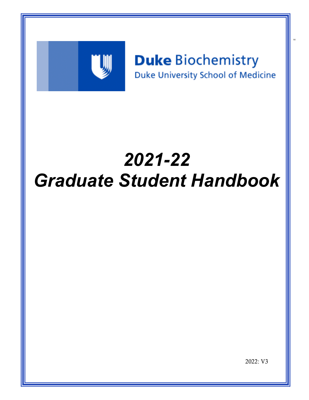

# **Duke Biochemistry** Duke University School of Medicine

re

# *2021-22 Graduate Student Handbook*

2022: V3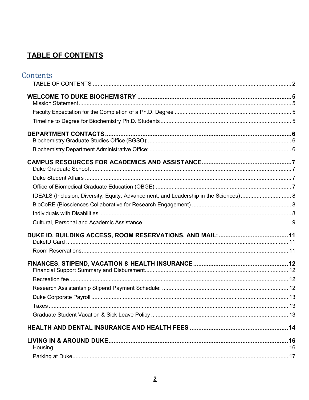# <span id="page-1-0"></span>**TABLE OF CONTENTS**

| Contents |  |
|----------|--|
|          |  |
|          |  |
|          |  |
|          |  |
|          |  |
|          |  |
|          |  |
|          |  |
|          |  |
|          |  |
|          |  |
|          |  |
|          |  |
|          |  |
|          |  |
|          |  |
|          |  |
|          |  |
|          |  |
|          |  |
|          |  |
|          |  |
|          |  |
|          |  |
|          |  |
|          |  |
|          |  |
|          |  |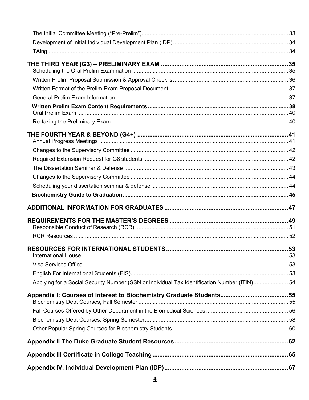| Applying for a Social Security Number (SSN or Individual Tax Identification Number (ITIN) 54 |  |
|----------------------------------------------------------------------------------------------|--|
|                                                                                              |  |
|                                                                                              |  |
|                                                                                              |  |
|                                                                                              |  |
|                                                                                              |  |
|                                                                                              |  |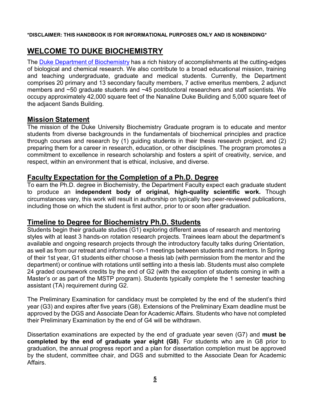#### **\*DISCLAIMER: THIS HANDBOOK IS FOR INFORMATIONAL PURPOSES ONLY AND IS NONBINDING\***

# <span id="page-4-0"></span>**WELCOME TO DUKE BIOCHEMISTRY**

The Duke Department of [Biochemistry](http://www.biochem.duke.edu/) has a rich history of accomplishments at the cutting-edges of biological and chemical research. We also contribute to a broad educational mission, training and teaching undergraduate, graduate and medical students. Currently, the Department comprises 20 primary and 13 secondary faculty members, 7 active emeritus members, 2 adjunct members and ~50 graduate students and ~45 postdoctoral researchers and staff scientists. We occupy approximately 42,000 square feet of the Nanaline Duke Building and 5,000 square feet of the adjacent Sands Building.

### <span id="page-4-1"></span>**Mission Statement**

The mission of the Duke University Biochemistry Graduate program is to educate and mentor students from diverse backgrounds in the fundamentals of biochemical principles and practice through courses and research by (1) guiding students in their thesis research project, and (2) preparing them for a career in research, education, or other disciplines. The program promotes a commitment to excellence in research scholarship and fosters a spirit of creativity, service, and respect, within an environment that is ethical, inclusive, and diverse.

### <span id="page-4-2"></span>**Faculty Expectation for the Completion of a Ph.D. Degree**

To earn the Ph.D. degree in Biochemistry, the Department Faculty expect each graduate student to produce an **independent body of original, high-quality scientific work.** Though circumstances vary, this work will result in authorship on typically two peer-reviewed publications, including those on which the student is first author, prior to or soon after graduation.

### <span id="page-4-3"></span>**Timeline to Degree for Biochemistry Ph.D. Students**

Students begin their graduate studies (G1) exploring different areas of research and mentoring styles with at least 3 hands-on rotation research projects. Trainees learn about the department's available and ongoing research projects through the introductory faculty talks during Orientation, as well as from our retreat and informal 1-on-1 meetings between students and mentors. In Spring of their 1st year, G1 students either choose a thesis lab (with permission from the mentor and the department) or continue with rotations until settling into a thesis lab. Students must also complete 24 graded coursework credits by the end of G2 (with the exception of students coming in with a Master's or as part of the MSTP program). Students typically complete the 1 semester teaching assistant (TA) requirement during G2.

The Preliminary Examination for candidacy must be completed by the end of the student's third year (G3) and expires after five years (G8). Extensions of the Preliminary Exam deadline must be approved by the DGS and Associate Dean for Academic Affairs. Students who have not completed their Preliminary Examination by the end of G4 will be withdrawn.

Dissertation examinations are expected by the end of graduate year seven (G7) and **must be completed by the end of graduate year eight (G8)**. For students who are in G8 prior to graduation, the annual progress report and a plan for dissertation completion must be approved by the student, committee chair, and DGS and submitted to the Associate Dean for Academic Affairs.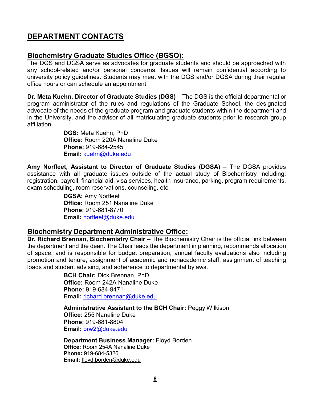# <span id="page-5-0"></span>**DEPARTMENT CONTACTS**

### <span id="page-5-1"></span>**Biochemistry Graduate Studies Office (BGSO):**

The DGS and DGSA serve as advocates for graduate students and should be approached with any school-related and/or personal concerns. Issues will remain confidential according to university policy guidelines. Students may meet with the DGS and/or DGSA during their regular office hours or can schedule an appointment.

**Dr. Meta Kuehn, Director of Graduate Studies (DGS)** – The DGS is the official departmental or program administrator of the rules and regulations of the Graduate School, the designated advocate of the needs of the graduate program and graduate students within the department and in the University, and the advisor of all matriculating graduate students prior to research group affiliation.

> **DGS:** Meta Kuehn, PhD **Office:** Room 220A Nanaline Duke **Phone:** 919-684-2545 **Email:** [kuehn@duke.edu](mailto:kuehn@duke.edu)

**Amy Norfleet, Assistant to Director of Graduate Studies (DGSA)** – The DGSA provides assistance with all graduate issues outside of the actual study of Biochemistry including: registration, payroll, financial aid, visa services, health insurance, parking, program requirements, exam scheduling, room reservations, counseling, etc.

> **DGSA:** Amy Norfleet **Office:** Room 251 Nanaline Duke **Phone:** 919-681-8770 **Email:** [norfleet@duke.edu](mailto:norfleet@duke.edu)

### <span id="page-5-2"></span>**Biochemistry Department Administrative Office:**

**Dr. Richard Brennan, Biochemistry Chair** – The Biochemistry Chair is the official link between the department and the dean. The Chair leads the department in planning, recommends allocation of space, and is responsible for budget preparation, annual faculty evaluations also including promotion and tenure, assignment of academic and nonacademic staff, assignment of teaching loads and student advising, and adherence to departmental bylaws.

> **BCH Chair:** Dick Brennan, PhD **Office:** Room 242A Nanaline Duke **Phone:** 919-684-9471 **Email:** [richard.brennan@duke.edu](mailto:richard.brennan@duke.edu)

**Administrative Assistant to the BCH Chair:** Peggy Wilkison **Office:** 255 Nanaline Duke **Phone:** 919-681-8804 **Email:** [prw2@duke.edu](mailto:prw2@duke.edu)

**Department Business Manager:** Floyd Borden **Office:** Room 254A Nanaline Duke **Phone:** 919-684-5326 **Email:** [floyd.borden@duke.edu](mailto:floyd.borden@duke.edu)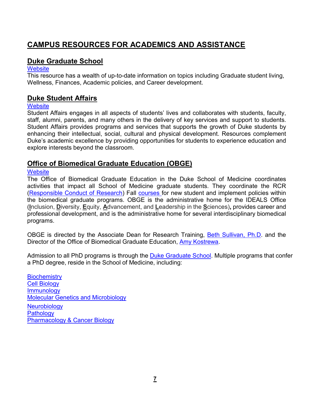# <span id="page-6-0"></span>**CAMPUS RESOURCES FOR ACADEMICS AND ASSISTANCE**

### <span id="page-6-1"></span>**Duke Graduate School**

### **[Website](https://gradschool.duke.edu/)**

This resource has a wealth of up-to-date information on topics including Graduate student living, Wellness, Finances, Academic policies, and Career development.

### <span id="page-6-2"></span>**Duke Student Affairs**

### **[Website](https://studentaffairs.duke.edu/)**

Student Affairs engages in all aspects of students' lives and collaborates with students, faculty, staff, alumni, parents, and many others in the delivery of key services and support to students. Student Affairs provides programs and services that supports the growth of Duke students by enhancing their intellectual, social, cultural and physical development. Resources complement Duke's academic excellence by providing opportunities for students to experience education and explore interests beyond the classroom.

### <span id="page-6-3"></span>**Office of Biomedical Graduate Education (OBGE)**

### **[Website](https://medschool.duke.edu/education/biomedical-phd-programs/office-biomedical-graduate-education)**

The Office of Biomedical Graduate Education in the Duke School of Medicine coordinates activities that impact all School of Medicine graduate students. They coordinate the RCR [\(Responsible Conduct of Research\)](https://medschool.duke.edu/education/biomedical-phd-programs/office-biomedical-graduate-education/responsible-conduct-research) Fall [courses f](http://medschool.duke.edu/phd-programs/rcr-orientation/beaufort-retreat)or new student and implement policies within the biomedical graduate programs. OBGE is the administrative home for the IDEALS Office (**I**nclusion, **D**iversity, **E**quity, **A**dvancement, and **L**eadership in the **S**ciences)**[,](https://medschool.duke.edu/about-us/diversity-and-inclusion/office-biomedical-graduate-diversity)** provides career and professional development, and is the administrative home for several interdisciplinary biomedical programs.

OBGE is directed by the Associate Dean for Research Training, [Beth Sullivan, Ph.D.](mailto:beth.sullivan@duke.edu) and the Director of the Office of Biomedical Graduate Education, Amy [Kostrewa.](mailto:amy.kostrewa@duke.edu)

Admission to all PhD programs is through the Duke [Graduate](http://gradschool.duke.edu/) School. Multiple programs that confer a PhD degree, reside in the School of Medicine, including:

**[Biochemistry](https://www.biochem.duke.edu/)** [Cell Biology](http://www.cellbio.duke.edu/) [Immunology](https://immunology.duke.edu/) Molecular Genetics and [Microbiology](http://mgm.duke.edu/) **[Neurobiology](http://www.neuro.duke.edu/) [Pathology](https://pathology.duke.edu/)** [Pharmacology](https://medschool.duke.edu/departments-centers-institutes/department-pharmacology-and-cancer-biology) & Cancer Biology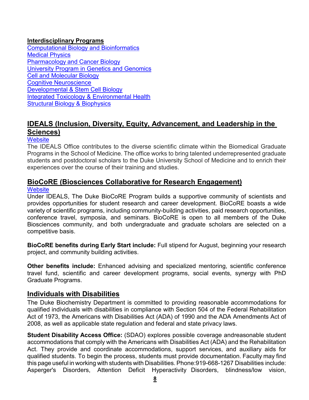### **Interdisciplinary Programs**

[Computational Biology and Bioinformatics](http://www.genome.duke.edu/CBB/) [Medical](http://medicalphysics.duke.edu/) Physics [Pharmacology](https://medschool.duke.edu/departments-centers-institutes/department-pharmacology-and-cancer-biology/training-programs-0) and Cancer Biology [University Program in Genetics and Genomics](http://upg.duke.edu/) Cell and [Molecular](http://cmb.duke.edu/) Biology [Cognitive Neuroscience](http://dibs.duke.edu/education/graduate/cogneuro-ap/) [Developmental](http://devbio.duke.edu/) & Stem Cell Biology [Integrated Toxicology & Environmental Health](https://sites.nicholas.duke.edu/envhealth/) Structural Biology [& Biophysics](http://sbb.duke.edu/)

### <span id="page-7-0"></span>**IDEALS (Inclusion, Diversity, Equity, Advancement, and Leadership in the Sciences)**

### **[Website](https://medschool.duke.edu/about-us/diversity-and-inclusion/ideals-office)**

The IDEALS Office contributes to the diverse scientific climate within the Biomedical Graduate Programs in the School of Medicine. The office works to bring talented underrepresented graduate students and postdoctoral scholars to the Duke University School of Medicine and to enrich their experiences over the course of their training and studies.

# <span id="page-7-1"></span>**[BioCoRE \(](https://biocore.duke.edu/about)Biosciences Collaborative for Research Engagement)**

### **[Website](https://medschool.duke.edu/about-us/diversity-and-inclusion/ideals-office/biocore-program)**

Under IDEALS, The Duke BioCoRE Program builds a supportive community of scientists and provides opportunities for student research and career development. BioCoRE boasts a wide variety of scientific programs, including community-building activities, paid research opportunities, conference travel, symposia, and seminars. BioCoRE is open to all members of the Duke Biosciences community, and both undergraduate and graduate scholars are selected on a competitive basis.

**BioCoRE benefits during Early Start include:** Full stipend for August, beginning your research project, and community building activities.

**Other benefits include:** Enhanced advising and specialized mentoring, scientific conference travel fund, scientific and career development programs, social events, synergy with PhD Graduate Programs.

### <span id="page-7-2"></span>**Individuals with Disabilities**

The Duke Biochemistry Department is committed to providing reasonable accommodations for qualified individuals with disabilities in compliance with Section 504 of the Federal Rehabilitation Act of 1973, the Americans with Disabilities Act (ADA) of 1990 and the ADA Amendments Act of 2008, as well as applicable state regulation and federal and state privacy laws.

**Student Disability Access Office:** (SDAO) explores possible coverage andreasonable student accommodations that comply with the Americans with Disabilities Act (ADA) and the Rehabilitation Act. They provide and coordinate accommodations, support services, and auxiliary aids for qualified students. To begin the process, students must provide documentation. Faculty may find this page useful in working with students with Disabilities. Phone:919-668-1267 Disabilities include: Asperger's Disorders, Attention Deficit Hyperactivity Disorders, blindness/low vision,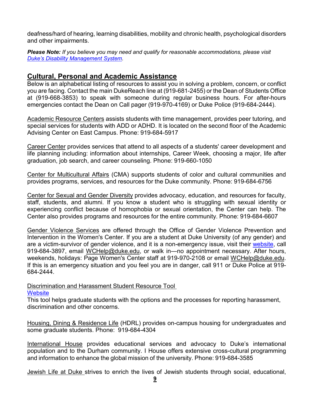deafness/hard of hearing, learning disabilities, mobility and chronic health, psychological disorders and other impairments.

*Please Note: If you believe you may need and qualify for reasonable accommodations, please visit [Duke's Disability](http://www.access.duke.edu/students/index.php) Management System.*

### <span id="page-8-0"></span>**Cultural, Personal and Academic Assistance**

Below is an alphabetical listing of resources to assist you in solving a problem, concern, or conflict you are facing. Contact the main DukeReach line at (919-681-2455) or the Dean of Students Office at (919-668-3853) to speak with someone during regular business hours. For after-hours emergencies contact the Dean on Call pager (919-970-4169) or Duke Police (919-684-2444).

Academic Resource Centers assists students with time management, provides peer tutoring, and special services for students with ADD or ADHD. It is located on the second floor of the Academic Advising Center on East Campus. Phone: 919-684-5917

Career Center provides services that attend to all aspects of a students' career development and life planning including: information about internships, Career Week, choosing a major, life after graduation, job search, and career counseling. Phone: 919-660-1050

Center for Multicultural Affairs (CMA) supports students of color and cultural communities and provides programs, services, and resources for the Duke community. Phone: 919-684-6756

Center for Sexual and Gender Diversity provides advocacy, education, and resources for faculty, staff, students, and alumni. If you know a student who is struggling with sexual identity or experiencing conflict because of homophobia or sexual orientation, the Center can help. The Center also provides programs and resources for the entire community. Phone: 919-684-6607

Gender Violence Services are offered through the Office of Gender Violence Prevention and Intervention in the Women's Center. If you are a student at Duke University (of any gender) and are a victim-survivor of gender violence, and it is a non-emergency issue, visit their [website,](https://studentaffairs.duke.edu/wc/gender-violence/gender-violence-education) call 919-684-3897, email [WCHelp@duke.edu, o](mailto:WCHelp@duke.edu)r walk in—no appointment necessary. After hours, weekends, holidays: Page Women's Center staff at 919-970-2108 or email [WCHelp@duke.edu.](mailto:WCHelp@duke.edu) If this is an emergency situation and you feel you are in danger, call 911 or Duke Police at 919- 684-2444.

#### Discrimination and Harassment Student Resource Tool **[Website](https://projects.gradschool.duke.edu/reporting/)**

This tool helps graduate students with the options and the processes for reporting harassment, discrimination and other concerns.

Housing, Dining & Residence Life (HDRL) provides on-campus housing for undergraduates and some graduate students. Phone: 919-684-4304

International House provides educational services and advocacy to Duke's international population and to the Durham community. I House offers extensive cross-cultural programming and information to enhance the global mission of the university. Phone: 919-684-3585

Jewish Life at Duke strives to enrich the lives of Jewish students through social, educational,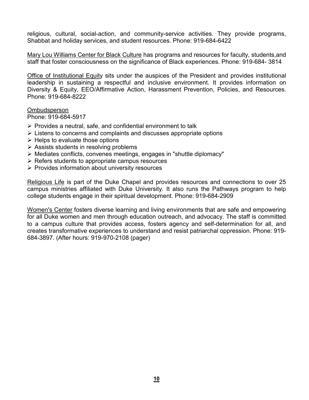religious, cultural, social-action, and community-service activities. They provide programs, Shabbat and holiday services, and student resources. Phone: 919-684-6422

Mary Lou Williams Center for Black Culture has programs and resources for faculty, students,and staff that foster consciousness on the significance of Black experiences. Phone: 919-684- 3814

Office of Institutional Equity sits under the auspices of the President and provides institutional leadership in sustaining a respectful and inclusive environment. It provides information on Diversity & Equity, EEO/Affirmative Action, Harassment Prevention, Policies, and Resources. Phone: 919-684-8222

**Ombudsperson** 

Phone: 919-684-5917

- $\triangleright$  Provides a neutral, safe, and confidential environment to talk
- $\triangleright$  Listens to concerns and complaints and discusses appropriate options
- $\triangleright$  Helps to evaluate those options
- $\triangleright$  Assists students in resolving problems
- $\triangleright$  Mediates conflicts, convenes meetings, engages in "shuttle diplomacy"
- $\triangleright$  Refers students to appropriate campus resources
- $\triangleright$  Provides information about university resources

Religious Life is part of the Duke Chapel and provides resources and connections to over 25 campus ministries affiliated with Duke University. It also runs the Pathways program to help college students engage in their spiritual development. Phone: 919-684-2909

Women's Center fosters diverse learning and living environments that are safe and empowering for all Duke women and men through education outreach, and advocacy. The staff is committed to a campus culture that provides access, fosters agency and self-determination for all, and creates transformative experiences to understand and resist patriarchal oppression. Phone: 919- 684-3897. (After hours: 919-970-2108 (pager)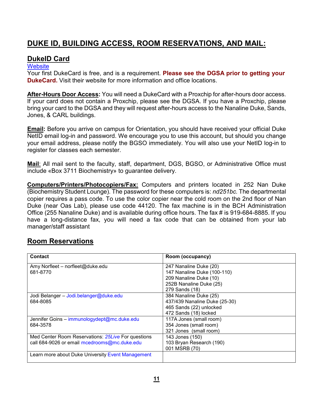# <span id="page-10-0"></span>**DUKE ID, BUILDING ACCESS, ROOM RESERVATIONS, AND MAIL:**

### <span id="page-10-1"></span>**DukeID Card**

### **[Website](https://dukecard.duke.edu/)**

Your first DukeCard is free, and is a requirement. **Please see the DGSA prior to getting your DukeCard.** Visit their website for more information and office locations.

**After-Hours Door Access:** You will need a DukeCard with a Proxchip for after-hours door access. If your card does not contain a Proxchip, please see the DGSA. If you have a Proxchip, please bring your card to the DGSA and they will request after-hours access to the Nanaline Duke, Sands, Jones, & CARL buildings.

**Email:** Before you arrive on campus for Orientation, you should have received your official Duke NetID email log-in and password. We encourage you to use this account, but should you change your email address, please notify the BGSO immediately. You will also use your NetID log-in to register for classes each semester.

**Mail**: All mail sent to the faculty, staff, department, DGS, BGSO, or Administrative Office must include «Box 3711 Biochemistry» to guarantee delivery.

**Computers/Printers/Photocopiers/Fax:** Computers and printers located in 252 Nan Duke (Biochemistry Student Lounge). The password for these computers is: *nd251bc.* The departmental copier requires a pass code. To use the color copier near the cold room on the 2nd floor of Nan Duke (near Oas Lab), please use code 44120. The fax machine is in the BCH Administration Office (255 Nanaline Duke) and is available during office hours. The fax # is 919-684-8885. If you have a long-distance fax, you will need a fax code that can be obtained from your lab manager/staff assistant

### <span id="page-10-2"></span>**Room Reservations**

| <b>Contact</b>                                     | Room (occupancy)              |
|----------------------------------------------------|-------------------------------|
| Amy Norfleet - norfleet@duke.edu                   | 247 Nanaline Duke (20)        |
| 681-8770                                           | 147 Nanaline Duke (100-110)   |
|                                                    | 209 Nanaline Duke (10)        |
|                                                    | 252B Nanaline Duke (25)       |
|                                                    | 279 Sands (18)                |
| Jodi Belanger - Jodi.belanger@duke.edu             | 384 Nanaline Duke (25)        |
| 684-8085                                           | 437/439 Nanaline Duke (25-30) |
|                                                    | 465 Sands (22) unlocked       |
|                                                    | 472 Sands (18) locked         |
| Jennifer Goins - immunologydept@mc.duke.edu        | 117A Jones (small room)       |
| 684-3578                                           | 354 Jones (small room)        |
|                                                    | 321 Jones (small room)        |
| Med Center Room Reservations: 25Live For questions | 143 Jones (150)               |
| call 684-9026 or email mcedrooms@mc.duke.edu       | 103 Bryan Research (190)      |
|                                                    | 001 MSRB (70)                 |
| Learn more about Duke University Event Management  |                               |
|                                                    |                               |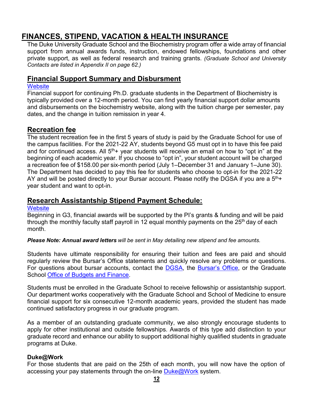# <span id="page-11-0"></span>**FINANCES, STIPEND, VACATION & HEALTH INSURANCE**

The Duke University Graduate School and the Biochemistry program offer a wide array of financial support from annual awards funds, instruction, endowed fellowships, foundations and other private support, as well as federal research and training grants. *(Graduate School and University Contacts are listed in Appendix II on page 62.)*

### <span id="page-11-1"></span>**Financial Support Summary and Disbursment**

#### **[Website](https://www.biochem.duke.edu/financial-support)**

Financial support for continuing Ph.D. graduate students in the Department of Biochemistry is typically provided over a 12-month period. You can find yearly financial support dollar amounts and disbursements on the biochemistry website, along with the tuition charge per semester, pay dates, and the change in tuition remission in year 4.

### <span id="page-11-2"></span>**Recreation fee**

The student recreation fee in the first 5 years of study is paid by the Graduate School for use of the campus facilities. For the 2021-22 AY, students beyond G5 must opt in to have this fee paid and for continued access. All  $5<sup>th</sup>$ + year students will receive an email on how to "opt in" at the beginning of each academic year. If you choose to "opt in", your student account will be charged a recreation fee of \$158.00 per six-month period (July 1–December 31 and January 1–June 30). The Department has decided to pay this fee for students who choose to opt-in for the 2021-22 AY and will be posted directly to your Bursar account. Please notify the DGSA if you are a  $5<sup>th</sup> +$ year student and want to opt-in.

### <span id="page-11-3"></span>**Research Assistantship Stipend Payment Schedule:**

#### **[Website](http://finance.duke.edu/payroll/schedules/index.php)**

Beginning in G3, financial awards will be supported by the PI's grants & funding and will be paid through the monthly faculty staff payroll in 12 equal monthly payments on the  $25<sup>th</sup>$  day of each month.

*Please Note: Annual award letters will be sent in May detailing new stipend and fee amounts.*

Students have ultimate responsibility for ensuring their tuition and fees are paid and should regularly review the Bursar's Office statements and quickly resolve any problems or questions. For questions about bursar accounts, contact the [DGSA,](mailto:norfleet@duke.edu) the [Bursar's Office,](https://finance.duke.edu/bursar) or the Graduate School Office of [Budgets and](https://gradschool.duke.edu/about/staff-directory#budget) Finance.

Students must be enrolled in the Graduate School to receive fellowship or assistantship support. Our department works cooperatively with the Graduate School and School of Medicine to ensure financial support for six consecutive 12-month academic years, provided the student has made continued satisfactory progress in our graduate program.

As a member of an outstanding graduate community, we also strongly encourage students to apply for other institutional and outside fellowships. Awards of this type add distinction to your graduate record and enhance our ability to support additional highly qualified students in graduate programs at Duke.

### **Duke@Work**

For those students that are paid on the 25th of each month, you will now have the option of accessing your pay statements through the on-line [Duke@Work](https://shib.oit.duke.edu/idp/authn/external?conversation=e1s1) system.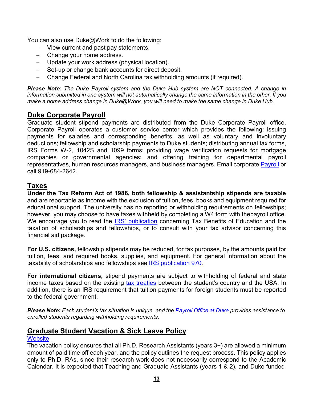You can also use Duke@Work to do the following:

- − View current and past pay statements.
- − Change your home address.
- − Update your work address (physical location).
- − Set-up or change bank accounts for direct deposit.
- − Change Federal and North Carolina tax withholding amounts (if required).

*Please Note: The Duke Payroll system and the Duke Hub system are NOT connected. A change in* information submitted in one system will not automatically change the same information in the other. If you *make a home address change in Duke@Work, you will need to make the same change in Duke Hub*.

### <span id="page-12-0"></span>**Duke Corporate Payroll**

Graduate student stipend payments are distributed from the Duke Corporate Payroll office. Corporate Payroll operates a customer service center which provides the following: issuing payments for salaries and corresponding benefits, as well as voluntary and involuntary deductions; fellowship and scholarship payments to Duke students; distributing annual tax forms, IRS Forms W-2, 1042S and 1099 forms; providing wage verification requests for mortgage companies or governmental agencies; and offering training for departmental payroll representatives, human resources managers, and business managers. Email corporate [Payroll](mailto:payroll@duke.edu) or call 919-684-2642.

### <span id="page-12-1"></span>**Taxes**

**Under the Tax Reform Act of 1986, both fellowship & assistantship stipends are taxable** and are reportable as income with the exclusion of tuition, fees, books and equipment required for educational support. The university has no reporting or withholding requirements on fellowships; however, you may choose to have taxes withheld by completing a W4 form with thepayroll office. We encourage you to read the [IRS' publication](http://www.irs.gov/pub/irs-pdf/p970.pdf) concerning Tax Benefits of Education and the taxation of scholarships and fellowships, or to consult with your tax advisor concerning this financial aid package.

**For U.S. citizens,** fellowship stipends may be reduced, for tax purposes, by the amounts paid for tuition, fees, and required books, supplies, and equipment. For general information about the taxability of scholarships and fellowships see **IRS publication 970**.

**For international citizens,** stipend payments are subject to withholding of federal and state income taxes based on the existing [tax treaties](http://www.irs.gov/publications/p901/ar02.html) between the student's country and the USA. In addition, there is an IRS requirement that tuition payments for foreign students must be reported to the federal government.

Please Note: Each student's tax situation is unique, and the [Payroll](http://finance.duke.edu/payroll/) Office at Duke provides assistance to *enrolled students regarding withholding requirements.*

### <span id="page-12-2"></span>**Graduate Student Vacation & Sick Leave Policy**

### **[Website](https://gradschool.duke.edu/sites/default/files/documents/policy_phd_student_vacation_grant-supported.pdf)**

The vacation policy ensures that all Ph.D. Research Assistants (years 3+) are allowed a minimum amount of paid time off each year, and the policy outlines the request process. This policy applies only to Ph.D. RAs, since their research work does not necessarily correspond to the Academic Calendar. It is expected that Teaching and Graduate Assistants (years 1 & 2), and Duke funded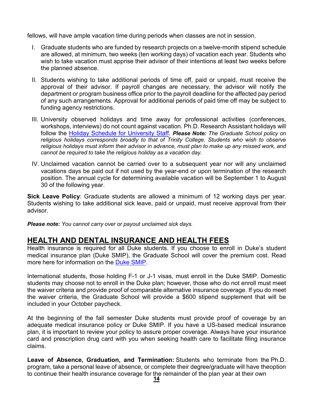fellows, will have ample vacation time during periods when classes are not in session.

- I. Graduate students who are funded by research projects on a twelve-month stipend schedule are allowed, at minimum, two weeks (ten working days) of vacation each year. Students who wish to take vacation must apprise their advisor of their intentions at least two weeks before the planned absence.
- II. Students wishing to take additional periods of time off, paid or unpaid, must receive the approval of their advisor. If payroll changes are necessary, the advisor will notify the department or program business office prior to the payroll deadline for the affected pay period of any such arrangements. Approval for additional periods of paid time off may be subject to funding agency restrictions.
- III. University observed holidays and time away for professional activities (conferences, workshops, interviews) do not count against vacation. Ph.D. Research Assistant holidays will follow the [Holiday Schedule for University Staff.](http://hr/benefits/time_away/university/holidays/index.php) *Please Note: The Graduate School policy on religious holidays corresponds broadly to that of Trinity College. Students who wish to observe religious holidays must inform their advisor in advance, must plan to make up any missed work, and cannot be required to take the religious holiday as a vacation day.*
- IV. Unclaimed vacation cannot be carried over to a subsequent year nor will any unclaimed vacations days be paid out if not used by the year-end or upon termination of the research position. The annual cycle for determining available vacation will be September 1 to August 30 of the following year.

**Sick Leave Policy**: Graduate students are allowed a minimum of 12 working days per year. Students wishing to take additional sick leave, paid or unpaid, must receive approval from their advisor.

*Please note: You cannot carry over or payout unclaimed sick days.*

### <span id="page-13-0"></span>**HEALTH AND DENTAL INSURANCE AND HEALTH FEES**

Health insurance is required for all Duke students. If you choose to enroll in Duke's student medical insurance plan (Duke SMIP), the Graduate School will cover the premium cost. Read more here for information on the Duke [SMIP.](http://studentaffairs.duke.edu/studenthealth/health-insurance)

International students, those holding F-1 or J-1 visas, must enroll in the Duke SMIP. Domestic students may choose not to enroll in the Duke plan; however, those who do not enroll must meet the waiver criteria and provide proof of comparable alternative insurance coverage. If you do meet the waiver criteria, the Graduate School will provide a \$600 stipend supplement that will be included in your October paycheck.

At the beginning of the fall semester Duke students must provide proof of coverage by an adequate medical insurance policy or Duke SMIP. If you have a US-based medical insurance plan, it is important to review your policy to assure proper coverage. Always have your insurance card and prescription drug card with you when seeking health care to facilitate filing insurance claims.

**Leave of Absence, Graduation, and Termination:** Students who terminate from the Ph.D. program, take a personal leave of absence, or complete their degree/graduate will have theoption to continue their health insurance coverage for the remainder of the plan year at their own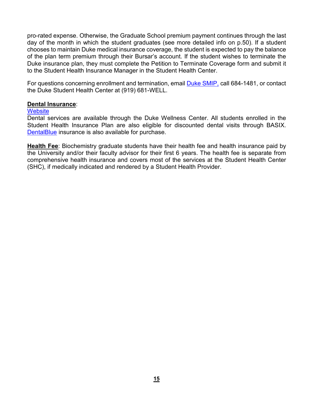pro-rated expense. Otherwise, the Graduate School premium payment continues through the last day of the month in which the student graduates (see more detailed info on p.50). If a student chooses to maintain Duke medical insurance coverage, the student is expected to pay the balance of the plan term premium through their Bursar's account. If the student wishes to terminate the Duke insurance plan, they must complete the Petition to Terminate Coverage form and submit it to the Student Health Insurance Manager in the Student Health Center.

For questions concerning enrollment and termination, email Duke [SMIP,](mailto:insurance@studentaffairs.duke.edu) call 684-1481, or contact the Duke Student Health Center at (919) 681-WELL.

#### **Dental Insurance**:

#### **[Website](https://studentaffairs.duke.edu/blog/dental-office-opens-student-wellness-center)**

Dental services are available through the Duke Wellness Center. All students enrolled in the Student Health Insurance Plan are also eligible for discounted dental visits through BASIX. [DentalBlue](https://www.bluecrossnc.com/shop-plans/dental-blue-individuals) insurance is also available for purchase.

**Health Fee**: Biochemistry graduate students have their health fee and health insurance paid by the University and/or their faculty advisor for their first 6 years. The health fee is separate from comprehensive health insurance and covers most of the services at the Student Health Center (SHC), if medically indicated and rendered by a Student Health Provider.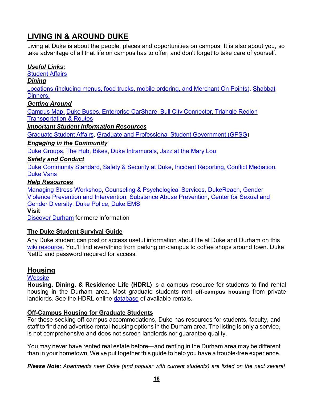# <span id="page-15-0"></span>**LIVING IN & AROUND DUKE**

Living at Duke is about the people, places and opportunities on campus. It is also about you, so take advantage of all that life on campus has to offer, and don't forget to take care of yourself.

### *Useful Links:*

[Student](http://studentaffairs.duke.edu/living-at-duke) Affairs

*Dining*

[Locations \(including menus, food trucks, mobile ordering, and Merchant On Points\),](https://studentaffairs.duke.edu/dining/locations) [Shabbat](https://studentaffairs.duke.edu/events/family-weekend-kabbalat-shabbat-service-dinner-jewish-life-duke) [Dinners,](https://studentaffairs.duke.edu/events/family-weekend-kabbalat-shabbat-service-dinner-jewish-life-duke)

### *Getting Around*

[Campus](http://maps.duke.edu/) Map, Duke [Buses,](http://maps.duke.edu/) Enterprise [CarShare,](https://parking.duke.edu/alternative/enterprise-carshare) Bull City [Connector,](https://parking.duke.edu/alternative/enterprise-carshare) [Triangle](http://www.gotriangle.org/transit/maps-and-schedules/) Region [Transportation](http://www.gotriangle.org/transit/maps-and-schedules/) & Routes

### *Important Student Information Resources*

[Graduate](https://studentaffairs.duke.edu/graduate-professional-students) Student Affairs, Graduate and [Professional](https://sites.duke.edu/gpsc/) Student Government (GPSG)

### *Engaging in the Community*

Duke [Groups,](https://dukegroups.com/home_login) The [Hub,](https://dukehub.duke.edu/psc/CSPRD01/EMPLOYEE/SA/s/WEBLIB_HCX_GN.H_SPRINGBOARD.FieldFormula.IScript_Main?institution=DUKEU) [Bikes,](https://studentaffairs.duke.edu/bicycles) Duke [Intramurals,](https://recreation.duke.edu/intramurals) Jazz at the [Mary](https://studentaffairs.duke.edu/mlw/programs-services/jazz) Lou

### *Safety and Conduct*

Duke [Community](http://studentaffairs.duke.edu/conduct/about-us#node-950) Standard, Safety & [Security](https://police.duke.edu/) at Duke, Incident [Reporting,](http://studentaffairs.duke.edu/conduct/report-incident) Conflict [Mediation,](http://studentaffairs.duke.edu/conduct/report-incident) [Duke Vans](https://parking.duke.edu/buses/duke-vans)

### *Help Resources*

[Managing Stress Workshop,](https://studentaffairs.duke.edu/caps/workshops-and-discussions/managing-academic-stress) [Counseling & Psychological Services, DukeReach,](http://studentaffairs.duke.edu/caps) [Gender](http://studentaffairs.duke.edu/wc/gender-violence) [Violence Prevention and Intervention,](http://studentaffairs.duke.edu/wc/gender-violence) [Substance Abuse Prevention,](http://studentaffairs.duke.edu/wc/gender-violence) [Center for Sexual and](https://studentaffairs.duke.edu/csgd) Gender [Diversity,](https://studentaffairs.duke.edu/csgd) Duke [Police,](https://studentaffairs.duke.edu/csgd) [Duke](http://www.dukeems.org/) EMS

**Visit**

[Discover](https://www.discoverdurham.com/) Durham for more information

### **The Duke Student Survival Guide**

Any Duke student can post or access useful information about life at Duke and Durham on this [wiki resource.](https://shib.oit.duke.edu/idp/authn/external?conversation=e1s1) You'll find everything from parking on-campus to coffee shops around town. Duke NetID and password required for access.

### <span id="page-15-1"></span>**Housing**

### **[Website](https://gradschool.duke.edu/admissions/admitted-students/housing)**

**Housing, Dining, & Residence Life (HDRL)** is a campus resource for students to find rental housing in the Durham area. Most graduate students rent **off-campus housing** from private landlords. See the HDRL online [database](https://studentaffairs.duke.edu/hdrl/graduate-professional-students/graduate-living-campus) of available rentals.

### **Off-Campus Housing for Graduate Students**

For those seeking off-campus accommodations, Duke has resources for students, faculty, and staff to find and advertise rental-housing options in the Durham area. The listing is only a service, is not comprehensive and does not screen landlords nor guarantee quality.

You may never have rented real estate before—and renting in the Durham area may be different than in your hometown. We've put together this guide to help you have a trouble-free experience.

*Please Note: Apartments near Duke (and popular with current students) are listed on the next several*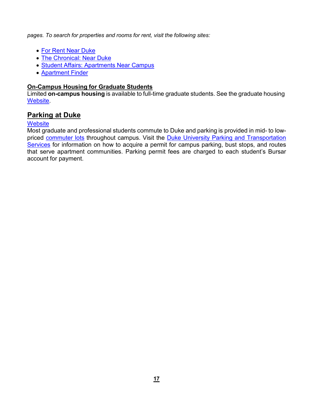*pages. To search for properties and rooms for rent, visit the following sites:*

- For Rent Near [Duke](https://www.forrent.com/find/NC/metro-Raleigh%2BDurham/college-Duke%2BUniversity)
- The [Chronical:](https://www.nearduke.com/housing) Near Duke
- Student Affairs: [Apartments](https://studentaffairs.duke.edu/ihouse/living-essentials/housing) Near Campus
- [Apartment](https://www.apartmentfinder.com/Off-Campus-Housing/North-Carolina/Apartments-Near-Duke-University-g4nk6vz) Finder

### **On-Campus Housing for Graduate Students**

Limited **on-campus housing** is available to full-time graduate students. See the graduate housing [Website.](https://studentaffairs.duke.edu/hdrl/graduate-professional-students/graduate-living-campus)

### <span id="page-16-0"></span>**Parking at Duke**

### **[Website](https://parking.duke.edu/parking)**

Most graduate and professional students commute to Duke and parking is provided in mid- to lowpriced [commuter lots](https://parking.duke.edu/parking/garages-lots-fees) throughout campus. Visit the [Duke University Parking and Transportation](https://parking.duke.edu/) [Services](https://parking.duke.edu/) for information on how to acquire a permit for campus parking, bust stops, and routes that serve apartment communities. Parking permit fees are charged to each student's Bursar account for payment.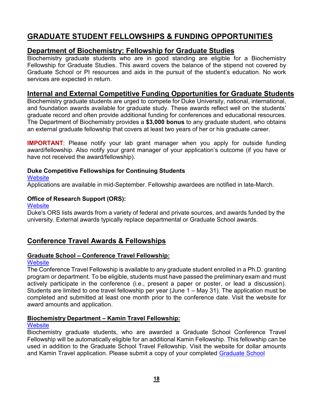# <span id="page-17-0"></span>**GRADUATE STUDENT FELLOWSHIPS & FUNDING OPPORTUNITIES**

### <span id="page-17-1"></span>**Department of Biochemistry: Fellowship for Graduate Studies**

Biochemistry graduate students who are in good standing are eligible for a Biochemistry Fellowship for Graduate Studies. This award covers the balance of the stipend not covered by Graduate School or PI resources and aids in the pursuit of the student's education. No work services are expected in return.

### <span id="page-17-2"></span>**Internal and External Competitive Funding Opportunities for Graduate Students**

Biochemistry graduate students are urged to compete for Duke University, national, international, and foundation awards available for graduate study. These awards reflect well on the students' graduate record and often provide additional funding for conferences and educational resources. The Department of Biochemistry provides a **\$3,000 bonus** to any graduate student, who obtains an external graduate fellowship that covers at least two years of her or his graduate career.

**IMPORTANT**: Please notify your lab grant manager when you apply for outside funding award/fellowship. Also notify your grant manager of your application's outcome (if you have or have not received the award/fellowship).

### **Duke Competitive Fellowships for Continuing Students**

#### **[Website](https://gradschool.duke.edu/financial-support/find-funding)**

Applications are available in mid-September. Fellowship awardees are notified in late-March.

### **Office of Research Support (ORS):**

### **[Website](https://ors.duke.edu/)**

Duke's ORS lists awards from a variety of federal and private sources, and awards funded by the university. External awards typically replace departmental or Graduate School awards.

### <span id="page-17-3"></span>**Conference Travel Awards & Fellowships**

### **Graduate School – Conference Travel Fellowship:**

### **[Website](https://gradschool.duke.edu/financial-support/find-funding/conference-travel)**

The Conference Travel Fellowship is available to any graduate student enrolled in a Ph.D. granting program or department. To be eligible, students must have passed the preliminary exam and must actively participate in the conference (i.e., present a paper or poster, or lead a discussion). Students are limited to one travel fellowship per year (June 1 – May 31). The application must be completed and submitted at least one month prior to the conference date. Visit the website for award amounts and application.

### **Biochemistry Department – Kamin Travel Fellowship:**

### **[Website](https://www.biochem.duke.edu/financial-support)**

Biochemistry graduate students, who are awarded a Graduate School Conference Travel Fellowship will be automatically eligible for an additional Kamin Fellowship. This fellowship can be used in addition to the Graduate School Travel Fellowship. Visit the website for dollar amounts and Kamin Travel application. Please submit a copy of your completed [Graduate](https://gradschool.duke.edu/sites/default/files/documents/conftrav.pdf) School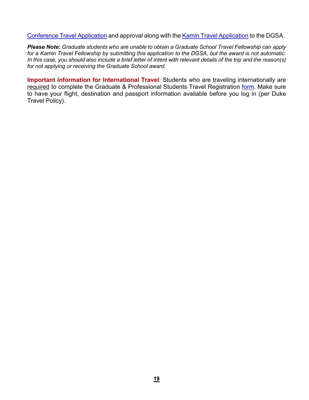[Conference](https://gradschool.duke.edu/sites/default/files/documents/conftrav.pdf) Travel [Application](https://www.biochem.duke.edu/sites/default/files/2021-06/Kamin%20Travel%20Fellowship%20Application.pdf) and approval along with the Kamin Travel Application to the DGSA.

*Please Note: Graduate students who are unable to obtain a Graduate School Travel Fellowship can apply for a Kamin Travel Fellowship by submitting this application to the DGSA, but the award is not automatic.* In this case, you should also include a brief letter of intent with relevant details of the trip and the reason(s) *for not applying or receiving the Graduate School award.*

**Important information for International Travel**: Students who are traveling internationally are required to complete the Graduate & Professional Students Travel Registration [form.](https://travel.duke.edu/registry) Make sure to have your flight, destination and passport information available before you log in (per Duke Travel Policy).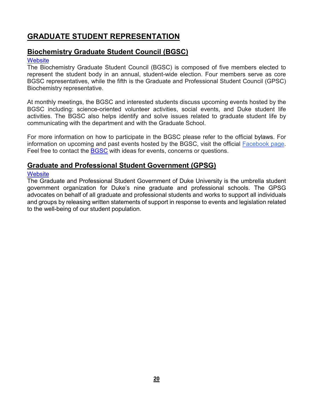# <span id="page-19-0"></span>**GRADUATE STUDENT REPRESENTATION**

### <span id="page-19-1"></span>**Biochemistry Graduate Student Council (BGSC)**

### **[Website](https://dukebiochemistrygsc.wordpress.com/)**

The Biochemistry Graduate Student Council (BGSC) is composed of five members elected to represent the student body in an annual, student-wide election. Four members serve as core BGSC representatives, while the fifth is the Graduate and Professional Student Council (GPSC) Biochemistry representative.

At monthly meetings, the BGSC and interested students discuss upcoming events hosted by the BGSC including: science-oriented volunteer activities, social events, and Duke student life activities. The BGSC also helps identify and solve issues related to graduate student life by communicating with the department and with the Graduate School.

For more information on how to participate in the BGSC please refer to the official bylaws. For information on upcoming and past events hosted by the BGSC, visit the official **Facebook page**. Feel free to contact the **[BGSC](mailto:DukeBiochemGSC@gmail.com)** with ideas for events, concerns or questions.

### <span id="page-19-2"></span>**Graduate and Professional Student Government (GPSG)**

### **[Website](https://gpsg.duke.edu/)**

The Graduate and Professional Student Government of Duke University is the umbrella student government organization for Duke's nine graduate and professional schools. The GPSG advocates on behalf of all graduate and professional students and works to support all individuals and groups by releasing written statements of support in response to events and legislation related to the well-being of our student population.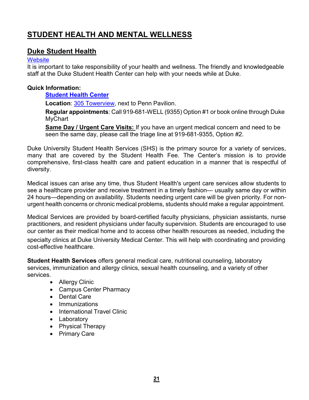# <span id="page-20-0"></span>**STUDENT HEALTH AND MENTAL WELLNESS**

### <span id="page-20-1"></span>**Duke Student Health**

#### **[Website](https://studentaffairs.duke.edu/studenthealth/new-students)**

It is important to take responsibility of your health and wellness. The friendly and knowledgeable staff at the Duke Student Health Center can help with your needs while at Duke.

### **Quick Information:**

**[Student](http://www.studentaffairs.duke.edu/studenthealth) Health Center**

**Location**: 305 Towerview, next to Penn Pavilion.

**Regular appointments**: Call 919-681-WELL (9355) Option #1 or book online through Duke **MyChart** 

**Same Day / Urgent Care Visits:** If you have an urgent medical concern and need to be seen the same day, please call the triage line at 919-681-9355, Option #2.

Duke University Student Health Services (SHS) is the primary source for a variety of services, many that are covered by the Student Health Fee. The Center's mission is to provide comprehensive, first-class health care and patient education in a manner that is respectful of diversity.

Medical issues can arise any time, thus Student Health's urgent care services allow students to see a healthcare provider and receive treatment in a timely fashion— usually same day or within 24 hours—depending on availability. Students needing urgent care will be given priority. For nonurgent health concerns or chronic medical problems, students should make a regular appointment.

Medical Services are provided by board-certified faculty physicians, physician assistants, nurse practitioners, and resident physicians under faculty supervision. Students are encouraged to use our center as their medical home and to access other health resources as needed, including the

specialty clinics at Duke University Medical Center. This will help with coordinating and providing cost-effective healthcare.

**Student Health Services** offers general medical care, nutritional counseling, laboratory services, immunization and allergy clinics, sexual health counseling, and a variety of other services.

- Allergy Clinic
- Campus Center Pharmacy
- Dental Care
- Immunizations
- International Travel Clinic
- Laboratory
- Physical Therapy
- Primary Care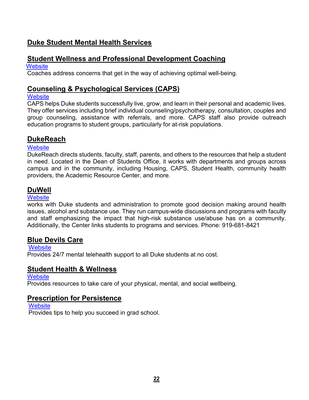### <span id="page-21-0"></span>**Duke Student Mental Health Services**

### <span id="page-21-1"></span>**Student Wellness and Professional Development Coaching**

**[Website](https://medschool.duke.edu/education/biomedical-phd-programs/office-biomedical-graduate-education/obge-phd-student-wellness)** 

Coaches address concerns that get in the way of achieving optimal well-being.

### <span id="page-21-2"></span>**Counseling & Psychological Services (CAPS)**

### **[Website](https://studentaffairs.duke.edu/caps)**

CAPS helps Duke students successfully live, grow, and learn in their personal and academic lives. They offer services including brief individual counseling/psychotherapy, consultation, couples and group counseling, assistance with referrals, and more. CAPS staff also provide outreach education programs to student groups, particularly for at-risk populations.

### <span id="page-21-3"></span>**DukeReach**

### **[Website](https://studentaffairs.duke.edu/dukereach1)**

DukeReach directs students, faculty, staff, parents, and others to the resources that help a student in need. Located in the Dean of Students Office, it works with departments and groups across campus and in the community, including Housing, CAPS, Student Health, community health providers, the Academic Resource Center, and more.

### <span id="page-21-4"></span>**DuWell**

### **[Website](https://studentaffairs.duke.edu/duwell)**

works with Duke students and administration to promote good decision making around health issues, alcohol and substance use. They run campus-wide discussions and programs with faculty and staff emphasizing the impact that high-risk substance use/abuse has on a community. Additionally, the Center links students to programs and services. Phone: 919-681-8421

### <span id="page-21-5"></span>**Blue Devils Care**

**[Website](https://studentaffairs.duke.edu/caps/how-we-can-help/bluedevilscare)** 

Provides 24/7 mental telehealth support to all Duke students at no cost.

### <span id="page-21-6"></span>**Student Health & Wellness**

**[Website](https://gradschool.duke.edu/student-life/student-health-and-wellness)** 

Provides resources to take care of your physical, mental, and social wellbeing.

### <span id="page-21-7"></span>**Prescription for Persistence**

**[Website](https://gradschool.duke.edu/student-life/prescription-persistence)** Provides tips to help you succeed in grad school.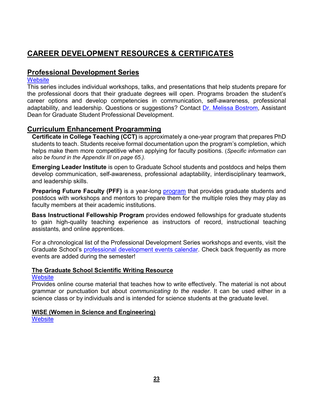# <span id="page-22-0"></span>**CAREER DEVELOPMENT RESOURCES & CERTIFICATES**

### <span id="page-22-1"></span>**Professional Development Series**

### **[Website](https://gradschool.duke.edu/professional-development/programs/professional-development-series)**

This series includes individual workshops, talks, and presentations that help students prepare for the professional doors that their graduate degrees will open. Programs broaden the student's career options and develop competencies in communication, self-awareness, professional adaptability, and leadership. Questions or suggestions? Contact [Dr. Melissa Bostrom,](mailto:melissa.bostrom@duke.edu) Assistant Dean for Graduate Student Professional Development.

### <span id="page-22-2"></span>**Curriculum Enhancement Programming**

**[Certificate](http://gradschool.duke.edu/professional-development/certificate-in-college-teaching) in College Teaching (CCT)** is approximately a one-year program that prepares PhD students to teach. Students receive formal documentation upon the program's completion, which helps make them more competitive when applying for faculty positions. (*Specific information can also be found in the Appendix III on page 65.).*

**[Emerging](http://gradschool.duke.edu/professional-development/programs/emerging-leaders-institute) Leader Institute** is open to Graduate School students and postdocs and helps them develop communication, self-awareness, professional adaptability, interdisciplinary teamwork, and leadership skills.

**Preparing Future Faculty (PFF)** is a year-long **program** that provides graduate students and postdocs with workshops and mentors to prepare them for the multiple roles they may play as faculty members at their academic institutions.

**[Bass Instructional Fellowship Program](http://gradschool.duke.edu/professional-development/programs/bass-instructional-fellowships)** provides endowed fellowships for graduate students to gain high-quality teaching experience as instructors of record, instructional teaching assistants, and online apprentices.

For a chronological list of the Professional Development Series workshops and events, visit the Graduate School's [professional development events calendar.](http://gradschool.duke.edu/professional-development/events) Check back frequently as more events are added during the semester!

### **The Graduate School Scientific Writing Resource**

### **[Website](https://cgi.duke.edu/web/sciwriting/index.php)**

Provides online course material that teaches how to write effectively. The material is not about grammar or punctuation but about *communicating to the reader*. It can be used either in a science class or by individuals and is intended for science students at the graduate level.

### **WISE (Women in Science and Engineering)**

**[Website](https://sites.duke.edu/wise/)**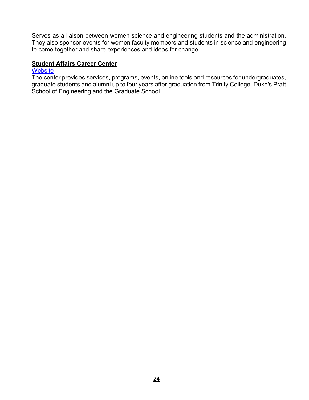Serves as a liaison between women science and engineering students and the administration. They also sponsor events for women faculty members and students in science and engineering to come together and share experiences and ideas for change.

### **Student Affairs Career Center**

### **[Website](http://studentaffairs.duke.edu/career)**

The center provides services, programs, events, online tools and resources for undergraduates, graduate students and alumni up to four years after graduation from Trinity College, Duke's Pratt School of Engineering and the Graduate School.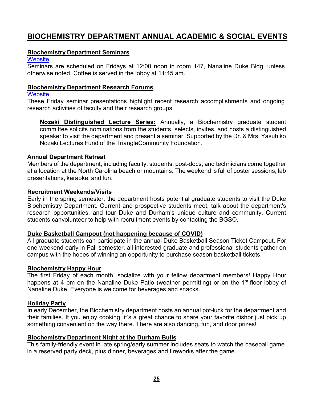# <span id="page-24-0"></span>**BIOCHEMISTRY DEPARTMENT ANNUAL ACADEMIC & SOCIAL EVENTS**

### **Biochemistry Department Seminars**

#### **[Website](https://www.biochem.duke.edu/biochemistry-seminars)**

Seminars are scheduled on Fridays at 12:00 noon in room 147, Nanaline Duke Bldg. unless otherwise noted. Coffee is served in the lobby at 11:45 am.

### **Biochemistry Department Research Forums**

#### **[Website](https://www.biochem.duke.edu/biochemistry-seminars)**

These Friday seminar presentations highlight recent research accomplishments and ongoing research activities of faculty and their research groups.

**Nozaki Distinguished Lecture Series:** Annually, a Biochemistry graduate student committee solicits nominations from the students, selects, invites, and hosts a distinguished speaker to visit the department and present a seminar. Supported by the Dr. & Mrs. Yasuhiko Nozaki Lectures Fund of the TriangleCommunity Foundation.

### **Annual Department Retreat**

Members of the department, including faculty, students, post-docs, and technicians come together at a location at the North Carolina beach or mountains. The weekend is full of poster sessions, lab presentations, karaoke, and fun.

#### **Recruitment Weekends/Visits**

Early in the spring semester, the department hosts potential graduate students to visit the Duke Biochemistry Department. Current and prospective students meet, talk about the department's research opportunities, and tour Duke and Durham's unique culture and community. Current students canvolunteer to help with recruitment events by contacting the BGSO.

### **Duke Basketball Campout (not happening because of COVID)**

All graduate students can participate in the annual Duke Basketball Season Ticket Campout. For one weekend early in Fall semester, all interested graduate and professional students gather on campus with the hopes of winning an opportunity to purchase season basketball tickets.

#### **Biochemistry Happy Hour**

The first Friday of each month, socialize with your fellow department members! Happy Hour happens at 4 pm on the Nanaline Duke Patio (weather permitting) or on the 1<sup>st</sup> floor lobby of Nanaline Duke. Everyone is welcome for beverages and snacks.

### **Holiday Party**

In early December, the Biochemistry department hosts an annual pot-luck for the department and their families. If you enjoy cooking, it's a great chance to share your favorite dishor just pick up something convenient on the way there. There are also dancing, fun, and door prizes!

### **Biochemistry Department Night at the Durham Bulls**

This family-friendly event in late spring/early summer includes seats to watch the baseball game in a reserved party deck, plus dinner, beverages and fireworks after the game.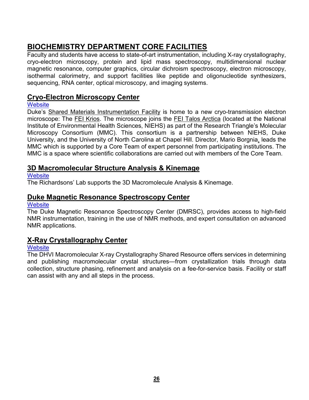# <span id="page-25-0"></span>**BIOCHEMISTRY DEPARTMENT CORE FACILITIES**

Faculty and students have access to state-of-art instrumentation, including X-ray crystallography, cryo-electron microscopy, protein and lipid mass spectroscopy, multidimensional nuclear magnetic resonance, computer graphics, circular dichroism spectroscopy, electron microscopy, isothermal calorimetry, and support facilities like peptide and oligonucleotide synthesizers, sequencing, RNA center, optical microscopy, and imaging systems.

### <span id="page-25-1"></span>**Cryo-Electron Microscopy Center**

### **[Website](https://smif.pratt.duke.edu/node/55048)**

Duke's Shared Materials Instrumentation Facility is home to a new cryo-transmission electron microscope: The FEI Krios. The microscope joins the FEI Talos Arctica (located at the National Institute of Environmental Health Sciences, NIEHS) as part of the Research Triangle's Molecular Microscopy Consortium (MMC). This consortium is a partnership between NIEHS, Duke University, and the University of North Carolina at Chapel Hill. Director, Mario Borgnia, leads the MMC which is supported by a Core Team of expert personnel from participating institutions. The MMC is a space where scientific collaborations are carried out with members of the Core Team.

### <span id="page-25-2"></span>**3D Macromolecular Structure Analysis & Kinemage**

### **[Website](http://kinemage.biochem.duke.edu/)**

The Richardsons' Lab supports the 3D Macromolecule Analysis & Kinemage.

### <span id="page-25-3"></span>**Duke Magnetic Resonance Spectroscopy Center**

### **[Website](https://sites.duke.edu/nmrcenter/)**

The Duke Magnetic Resonance Spectroscopy Center (DMRSC), provides access to high-field NMR instrumentation, training in the use of NMR methods, and expert consultation on advanced NMR applications.

### <span id="page-25-4"></span>**X-Ray Crystallography Center**

### **[Website](https://shared-resources.dhvi.duke.edu/core-facilities/macromolecular-x-ray-crystallography/rates-scheduling)**

The DHVI Macromolecular X-ray Crystallography Shared Resource offers services in determining and publishing macromolecular crystal structures—from crystallization trials through data collection, structure phasing, refinement and analysis on a fee-for-service basis. Facility or staff can assist with any and all steps in the process.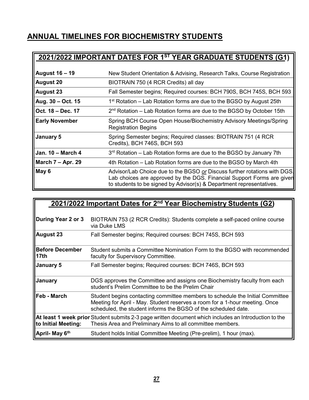# <span id="page-26-0"></span>**ANNUAL TIMELINES FOR BIOCHEMISTRY STUDENTS**

# **2021/2022 IMPORTANT DATES FOR 1ST YEAR GRADUATE STUDENTS (G1) August 16 – 19** New Student Orientation & Advising, Research Talks, Course Registration **August 20** BIOTRAIN 750 (4 RCR Credits) all day **August 23** Fall Semester begins; Required courses: BCH 790S, BCH 745S, BCH 593 **Aug. 30 – Oct. 15** 1st Rotation – Lab Rotation forms are due to the BGSO by August 25th **Oct. 18 – Dec. 17** 2nd Rotation – Lab Rotation forms are due to the BGSO by October 15th **Early November** Spring BCH Course Open House/Biochemistry Advisory Meetings/Spring Registration Begins **January 5** Spring Semester begins; Required classes: BIOTRAIN 751 (4 RCR Credits), BCH 746S, BCH 593 **Jan. 10 – March 4** 3rd Rotation – Lab Rotation forms are due to the BGSO by January 7th **March 7 – Apr. 29** 4th Rotation – Lab Rotation forms are due to the BGSO by March 4th **May 6** Advisor/Lab Choice due to the BGSO or Discuss further rotations with DGS Lab choices are approved by the DGS. Financial Support Forms are given to students to be signed by Advisor(s) & Department representatives.

|                                            | 2021/2022 Important Dates for 2 <sup>nd</sup> Year Biochemistry Students (G2)                                                                                                                                                  |
|--------------------------------------------|--------------------------------------------------------------------------------------------------------------------------------------------------------------------------------------------------------------------------------|
| During Year 2 or 3                         | BIOTRAIN 753 (2 RCR Credits): Students complete a self-paced online course<br>via Duke LMS                                                                                                                                     |
| <b>August 23</b>                           | Fall Semester begins; Required courses: BCH 745S, BCH 593                                                                                                                                                                      |
| <b>Before December</b><br>17 <sub>th</sub> | Student submits a Committee Nomination Form to the BGSO with recommended<br>faculty for Supervisory Committee.                                                                                                                 |
| <b>January 5</b>                           | Fall Semester begins; Required courses: BCH 746S, BCH 593                                                                                                                                                                      |
| January                                    | DGS approves the Committee and assigns one Biochemistry faculty from each<br>student's Prelim Committee to be the Prelim Chair                                                                                                 |
| Feb - March                                | Student begins contacting committee members to schedule the Initial Committee<br>Meeting for April - May. Student reserves a room for a 1-hour meeting. Once<br>scheduled, the student informs the BGSO of the scheduled date. |
| to Initial Meeting:                        | At least 1 week prior Student submits 2-3 page written document which includes an Introduction to the<br>Thesis Area and Preliminary Aims to all committee members.                                                            |
| April- May 6 <sup>th</sup>                 | Student holds Initial Committee Meeting (Pre-prelim), 1 hour (max).                                                                                                                                                            |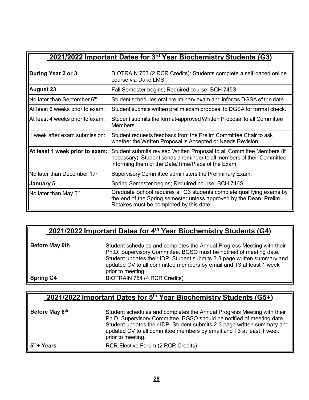# **2021/2022 Important Dates for 3rd Year Biochemistry Students (G3)**

| During Year 2 or 3              | BIOTRAIN 753 (2 RCR Credits): Students complete a self-paced online<br>course via Duke LMS                                                                                                            |
|---------------------------------|-------------------------------------------------------------------------------------------------------------------------------------------------------------------------------------------------------|
| <b>August 23</b>                | Fall Semester begins; Required course: BCH 745S                                                                                                                                                       |
| No later than September 6th     | Student schedules oral preliminary exam and informs DGSA of the date.                                                                                                                                 |
| At least 6 weeks prior to exam: | Student submits written prelim exam proposal to DGSA for format check.                                                                                                                                |
| At least 4 weeks prior to exam: | Student submits the format-approved Written Proposal to all Committee<br>Members.                                                                                                                     |
| 1 week after exam submission:   | Student requests feedback from the Prelim Committee Chair to ask<br>whether the Written Proposal is Accepted or Needs Revision.                                                                       |
| At least 1 week prior to exam:  | Student submits revised Written Proposal to all Committee Members (if<br>necessary). Student sends a reminder to all members of their Committee<br>informing them of the Date/Time/Place of the Exam. |
| No later than December 17th     | Supervisory Committee administers the Preliminary Exam.                                                                                                                                               |
| January 5                       | Spring Semester begins; Required course: BCH 746S                                                                                                                                                     |
| No later than May $6th$         | Graduate School requires all G3 students complete qualifying exams by<br>the end of the Spring semester unless approved by the Dean. Prelim<br>Retakes must be completed by this date.                |

# **2021/2022 Important Dates for 4th Year Biochemistry Students (G4)**

| <b>Before May 6th</b> | Student schedules and completes the Annual Progress Meeting with their<br>Ph.D. Supervisory Committee. BGSO must be notified of meeting date.<br>Student updates their IDP. Student submits 2-3 page written summary and<br>updated CV to all committee members by email and T3 at least 1 week<br>prior to meeting. |
|-----------------------|----------------------------------------------------------------------------------------------------------------------------------------------------------------------------------------------------------------------------------------------------------------------------------------------------------------------|
| <b>Spring G4</b>      | BIOTRAIN 754 (4 RCR Credits)                                                                                                                                                                                                                                                                                         |

| 2021/2022 Important Dates for 5 <sup>th</sup> Year Biochemistry Students (G5+) |                                                                                                                                                                                                                                                                                                                        |  |
|--------------------------------------------------------------------------------|------------------------------------------------------------------------------------------------------------------------------------------------------------------------------------------------------------------------------------------------------------------------------------------------------------------------|--|
| Before May 6th                                                                 | Student schedules and completes the Annual Progress Meeting with their<br>Ph.D. Supervisory Committee. BGSO should be notified of meeting date.<br>Student updates their IDP. Student submits 2-3 page written summary and<br>updated CV to all committee members by email and T3 at least 1 week<br>prior to meeting. |  |
| 5 <sup>th</sup> + Years                                                        | <b>RCR Elective Forum (2 RCR Credits)</b>                                                                                                                                                                                                                                                                              |  |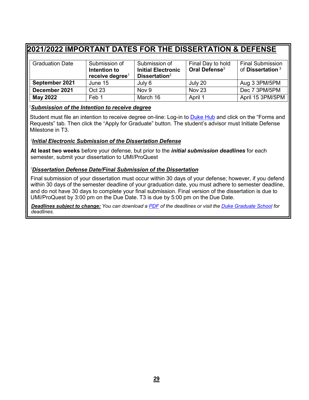# <span id="page-28-0"></span>**2021/2022 IMPORTANT DATES FOR THE DISSERTATION & DEFENSE**

| <b>Graduation Date</b> | Submission of<br>Intention to<br>receive degree <sup>1</sup> | Submission of<br><b>Initial Electronic</b><br>Dissertation $2$ | Final Day to hold<br>Oral Defense <sup>3</sup> | <b>Final Submission</b><br>of Dissertation $3$ |
|------------------------|--------------------------------------------------------------|----------------------------------------------------------------|------------------------------------------------|------------------------------------------------|
| September 2021         | June 15                                                      | July 6                                                         | July 20                                        | Aug 3 3PM/5PM                                  |
| December 2021          | Oct 23                                                       | Nov 9                                                          | Nov <sub>23</sub>                              | Dec 7 3PM/5PM                                  |
| <b>May 2022</b>        | Feb 1                                                        | March 16                                                       | April 1                                        | April 15 3PM/5PM                               |

#### 1 *Submission of the Intention to receive degree*

Student must file an intention to receive degree on-line: Log-in to [Duke Hub](https://dukehub.duke.edu/) and click on the "Forms and Requests" tab. Then click the "Apply for Graduate" button. The student's advisor must Initiate Defense Milestone in T3.

#### *2 Initial Electronic Submission of the Dissertation Defense*

**At least two weeks** before your defense, but prior to the *initial submission deadlines* for each semester, submit your dissertation to UMI/ProQuest

### *3 Dissertation Defense Date/Final Submission of the Dissertation*

Final submission of your dissertation must occur within 30 days of your defense; however, if you defend within 30 days of the semester deadline of your graduation date, you must adhere to semester deadline, and do not have 30 days to complete your final submission. Final version of the dissertation is due to UMI/ProQuest by 3:00 pm on the Due Date. T3 is due by 5:00 pm on the Due Date.

Deadlines subject to change: You can download a [PDF](https://gradschool.duke.edu/sites/default/files/documents/graduation_deadlines.pdf) of the deadlines or visit the Duke [Graduate](https://gradschool.duke.edu/academics/preparing-graduate/graduation-deadlines) School for *deadlines.*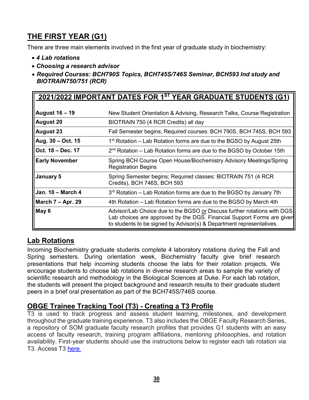# <span id="page-29-0"></span>**THE FIRST YEAR (G1)**

There are three main elements involved in the first year of graduate study in biochemistry:

- *4 Lab rotations*
- *Choosing a research advisor*
- *Required Courses: BCH790S Topics, BCH745S/746S Seminar, BCH593 Ind study and BIOTRAIN750/751 (RCR)*

| 2021/2022 IMPORTANT DATES FOR 1ST YEAR GRADUATE STUDENTS (G1) |                                                                                                                                                                                                                             |  |
|---------------------------------------------------------------|-----------------------------------------------------------------------------------------------------------------------------------------------------------------------------------------------------------------------------|--|
|                                                               |                                                                                                                                                                                                                             |  |
| <b>August 16 – 19</b>                                         | New Student Orientation & Advising, Research Talks, Course Registration                                                                                                                                                     |  |
| <b>August 20</b>                                              | BIOTRAIN 750 (4 RCR Credits) all day                                                                                                                                                                                        |  |
| <b>August 23</b>                                              | Fall Semester begins; Required courses: BCH 790S, BCH 745S, BCH 593                                                                                                                                                         |  |
| Aug. 30 – Oct. 15                                             | $1st$ Rotation – Lab Rotation forms are due to the BGSO by August 25th                                                                                                                                                      |  |
| Oct. 18 - Dec. 17                                             | $2nd Rotation – Lab Rotation forms are due to the BGSO by October 15th$                                                                                                                                                     |  |
| <b>Early November</b>                                         | Spring BCH Course Open House/Biochemistry Advisory Meetings/Spring<br><b>Registration Begins</b>                                                                                                                            |  |
| January 5                                                     | Spring Semester begins; Required classes: BIOTRAIN 751 (4 RCR<br>Credits), BCH 746S, BCH 593                                                                                                                                |  |
| <b>Jan. 10 - March 4</b>                                      | 3 <sup>rd</sup> Rotation – Lab Rotation forms are due to the BGSO by January 7th                                                                                                                                            |  |
| March $7 -$ Apr. 29                                           | 4th Rotation – Lab Rotation forms are due to the BGSO by March 4th                                                                                                                                                          |  |
| May 6                                                         | Advisor/Lab Choice due to the BGSO or Discuss further rotations with DGS.<br>Lab choices are approved by the DGS. Financial Support Forms are given<br>to students to be signed by Advisor(s) & Department representatives. |  |

### <span id="page-29-1"></span>**Lab Rotations**

Incoming Biochemistry graduate students complete 4 laboratory rotations during the Fall and Spring semesters. During orientation week, Biochemistry faculty give brief research presentations that help incoming students choose the labs for their rotation projects. We encourage students to choose lab rotations in diverse research areas to sample the variety of scientific research and methodology in the Biological Sciences at Duke. For each lab rotation, the students will present the project background and research results to their graduate student peers in a brief oral presentation as part of the BCH745S/746S course.

### <span id="page-29-2"></span>**OBGE Trainee Tracking Tool (T3) - Creating a T3 Profile**

T3 is used to track progress and assess student learning, milestones, and development throughout the graduate training experience. T3 also includes the OBGE Faculty Research Series, a repository of SOM graduate faculty research profiles that provides G1 students with an easy access of faculty research, training program affiliations, mentoring philosophies, and rotation availability. First-year students should use the instructions below to register each lab rotation via T3. Access T3 [here](https://t3.medschool.duke.edu/).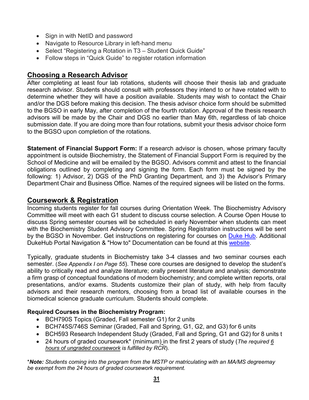- Sign in with NetID and password
- Navigate to Resource Library in left-hand menu
- Select "Registering a Rotation in T3 Student Quick Guide"
- Follow steps in "Quick Guide" to register rotation information

### <span id="page-30-0"></span>**Choosing a Research Advisor**

After completing at least four lab rotations, students will choose their thesis lab and graduate research advisor. Students should consult with professors they intend to or have rotated with to determine whether they will have a position available. Students may wish to contact the Chair and/or the DGS before making this decision. The thesis advisor choice form should be submitted to the BGSO in early May, after completion of the fourth rotation. Approval of the thesis research advisors will be made by the Chair and DGS no earlier than May 6th, regardless of lab choice submission date. If you are doing more than four rotations, submit your thesis advisor choice form to the BGSO upon completion of the rotations.

**Statement of Financial Support Form:** If a research advisor is chosen, whose primary faculty appointment is outside Biochemistry, the Statement of Financial Support Form is required by the School of Medicine and will be emailed by the BGSO. Advisors commit and attest to the financial obligations outlined by completing and signing the form. Each form must be signed by the following: 1) Advisor, 2) DGS of the PhD Granting Department, and 3) the Advisor's Primary Department Chair and Business Office. Names of the required signees will be listed on the forms.

### <span id="page-30-1"></span>**Coursework & Registration**

Incoming students register for fall courses during Orientation Week. The Biochemistry Advisory Committee will meet with each G1 student to discuss course selection. A Course Open House to discuss Spring semester courses will be scheduled in early November when students can meet with the Biochemistry Student Advisory Committee. Spring Registration instructions will be sent by the BGSO in November. Get instructions on registering for courses on [Duke Hub.](https://dukehub.duke.edu/) Additional DukeHub Portal Navigation & "How to" Documentation can be found at this [website.](http://sissoffice.duke.edu/DukeHub/howto.html)

Typically, graduate students in Biochemistry take 3-4 classes and two seminar courses each semester. (*See Appendix I on Page 55*). These core courses are designed to develop the student's ability to critically read and analyze literature; orally present literature and analysis; demonstrate a firm grasp of conceptual foundations of modern biochemistry; and complete written reports, oral presentations, and/or exams. Students customize their plan of study, with help from faculty advisors and their research mentors, choosing from a broad list of available courses in the biomedical science graduate curriculum. Students should complete.

### **Required Courses in the Biochemistry Program:**

- BCH790S Topics (Graded, Fall semester G1) for 2 units
- BCH745S/746S Seminar (Graded, Fall and Spring, G1, G2, and G3) for 6 units
- BCH593 Research Independent Study (Graded, Fall and Spring, G1 and G2) for 8 units t
- 24 hours of graded coursework\* (minimum) in the first 2 years of study (*The required 6 hours of ungraded coursework is fulfilled by RCR*).

\**Note: Students coming into the program from the MSTP or matriculating with an MA/MS degreemay be exempt from the 24 hours of graded coursework requirement.*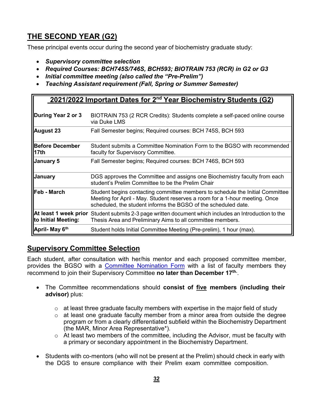# <span id="page-31-0"></span>**THE SECOND YEAR (G2)**

These principal events occur during the second year of biochemistry graduate study:

- *Supervisory committee selection*
- *Required Courses: BCH745S/746S, BCH593; BIOTRAIN 753 (RCR) in G2 or G3*
- *Initial committee meeting (also called the "Pre-Prelim")*
- *Teaching Assistant requirement (Fall, Spring or Summer Semester)*

| 2021/2022 Important Dates for 2 <sup>nd</sup> Year Biochemistry Students (G2) |                                                                                                                                                                                                                                |  |
|-------------------------------------------------------------------------------|--------------------------------------------------------------------------------------------------------------------------------------------------------------------------------------------------------------------------------|--|
| During Year 2 or 3                                                            | BIOTRAIN 753 (2 RCR Credits): Students complete a self-paced online course<br>via Duke LMS                                                                                                                                     |  |
| August 23                                                                     | Fall Semester begins; Required courses: BCH 745S, BCH 593                                                                                                                                                                      |  |
| <b>Before December</b><br>  17th                                              | Student submits a Committee Nomination Form to the BGSO with recommended<br>faculty for Supervisory Committee.                                                                                                                 |  |
| <b>January 5</b>                                                              | Fall Semester begins; Required courses: BCH 746S, BCH 593                                                                                                                                                                      |  |
| <b>January</b>                                                                | DGS approves the Committee and assigns one Biochemistry faculty from each<br>student's Prelim Committee to be the Prelim Chair                                                                                                 |  |
| llFeb - March                                                                 | Student begins contacting committee members to schedule the Initial Committee<br>Meeting for April - May. Student reserves a room for a 1-hour meeting. Once<br>scheduled, the student informs the BGSO of the scheduled date. |  |
| At least 1 week prior<br>to Initial Meeting:                                  | Student submits 2-3 page written document which includes an Introduction to the<br>Thesis Area and Preliminary Aims to all committee members.                                                                                  |  |
| April- May 6 <sup>th</sup>                                                    | Student holds Initial Committee Meeting (Pre-prelim), 1 hour (max).                                                                                                                                                            |  |

### <span id="page-31-1"></span>**Supervisory Committee Selection**

Each student, after consultation with her/his mentor and each proposed committee member, provides the BGSO with a [Committee Nomination Form](https://www.biochem.duke.edu/sites/default/files/2021-04/Committee%20Nomination%20Form.pdf) with a list of faculty members they recommend to join their Supervisory Committee **no later than December 17th.**.

- The Committee recommendations should **consist of five members (including their advisor)** plus:
	- $\circ$  at least three graduate faculty members with expertise in the major field of study
	- $\circ$  at least one graduate faculty member from a minor area from outside the degree program or from a clearly differentiated subfield within the Biochemistry Department (the MAR, Minor Area Representative\*).
	- $\circ$  At least two members of the committee, including the Advisor, must be faculty with a primary or secondary appointment in the Biochemistry Department.
- Students with co-mentors (who will not be present at the Prelim) should check in early with the DGS to ensure compliance with their Prelim exam committee composition.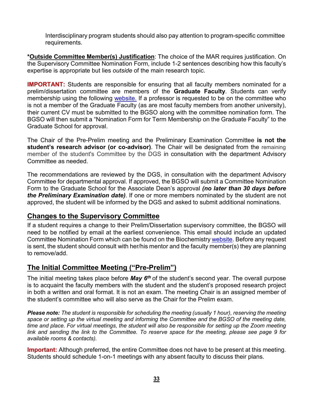Interdisciplinary program students should also pay attention to program-specific committee requirements.

**\*Outside Committee Member(s) Justification**: The choice of the MAR requires justification. On the Supervisory Committee Nomination Form, include 1-2 sentences describing how this faculty's expertise is appropriate but lies *outside* of the main research topic.

**IMPORTANT:** Students are responsible for ensuring that all faculty members nominated for a prelim/dissertation committee are members of the **Graduate Faculty**. Students can verify membership using the following [website.](http://gradschool.duke.edu/academics/graduate-faculty) If a professor is requested to be on the committee who is not a member of the Graduate Faculty (as are most faculty members from another university), their current CV must be submitted to the BGSO along with the committee nomination form. The BGSO will then submit a "Nomination Form for Term Membership on the Graduate Faculty" to the Graduate School for approval.

The Chair of the Pre-Prelim meeting and the Preliminary Examination Committee **is not the student's research advisor (or co-advisor)**. The Chair will be designated from the remaining member of the student's Committee by the DGS in consultation with the department Advisory Committee as needed.

The recommendations are reviewed by the DGS, in consultation with the department Advisory Committee for departmental approval. If approved, the BGSO will submit a Committee Nomination Form to the Graduate School for the Associate Dean's approval *(no later than 30 days before the Preliminary Examination date)*. If one or more members nominated by the student are not approved, the student will be informed by the DGS and asked to submit additional nominations.

### <span id="page-32-0"></span>**Changes to the Supervisory Committee**

If a student requires a change to their Prelim/Dissertation supervisory committee, the BGSO will need to be notified by email at the earliest convenience. This email should include an updated Committee Nomination Form which can be found on the Biochemistry [website.](https://www.biochem.duke.edu/sites/default/files/2021-04/Committee%20Nomination%20Form.pdf) Before any request is sent, the student should consult with her/his mentor and the faculty member(s) they are planning to remove/add.

### <span id="page-32-1"></span>**The Initial Committee Meeting ("Pre-Prelim")**

The initial meeting takes place before *May 6th* of the student's second year. The overall purpose is to acquaint the faculty members with the student and the student's proposed research project in both a written and oral format. It is not an exam. The meeting Chair is an assigned member of the student's committee who will also serve as the Chair for the Prelim exam.

*Please note: The student is responsible for scheduling the meeting (usually 1 hour), reserving the meeting space or setting up the virtual meeting and informing the Committee and the BGSO of the meeting date, time and place. For virtual meetings, the student will also be responsible for setting up the Zoom meeting link and sending the link to the Committee. To reserve space for the meeting, please see page 9 for available rooms & contacts).*

**Important:** Although preferred, the entire Committee does not have to be present at this meeting. Students should schedule 1-on-1 meetings with any absent faculty to discuss their plans.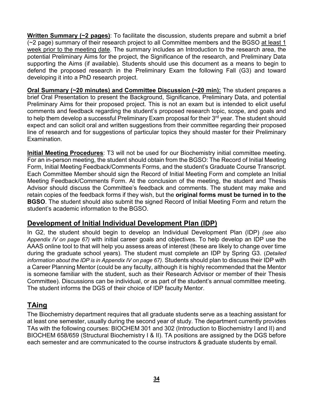**Written Summary (~2 pages)**: To facilitate the discussion, students prepare and submit a brief (~2 page) summary of their research project to all Committee members and the BGSO at least 1 week prior to the meeting date. The summary includes an Introduction to the research area, the potential Preliminary Aims for the project, the Significance of the research, and Preliminary Data supporting the Aims (if available). Students should use this document as a means to begin to defend the proposed research in the Preliminary Exam the following Fall (G3) and toward developing it into a PhD research project.

**Oral Summary (~20 minutes) and Committee Discussion (~20 min):** The student prepares a brief Oral Presentation to present the Background, Significance, Preliminary Data, and potential Preliminary Aims for their proposed project. This is not an exam but is intended to elicit useful comments and feedback regarding the student's proposed research topic, scope, and goals and to help them develop a successful Preliminary Exam proposal for their 3rd year. The student should expect and can solicit oral and written suggestions from their committee regarding their proposed line of research and for suggestions of particular topics they should master for their Preliminary Examination.

**Initial Meeting Procedures**: T3 will not be used for our Biochemistry initial committee meeting. For an in-person meeting, the student should obtain from the BGSO: The Record of Initial Meeting Form, Initial Meeting Feedback/Comments Forms, and the student's Graduate Course Transcript. Each Committee Member should sign the Record of Initial Meeting Form and complete an Initial Meeting Feedback/Comments Form. At the conclusion of the meeting, the student and Thesis Advisor should discuss the Committee's feedback and comments. The student may make and retain copies of the feedback forms if they wish, but the **original forms must be turned in to the BGSO**. The student should also submit the signed Record of Initial Meeting Form and return the student's academic information to the BGSO.

### <span id="page-33-0"></span>**Development of Initial Individual Development Plan (IDP)**

In G2, the student should begin to develop an Individual Development Plan (IDP) *(see also Appendix IV on page 67)* with initial career goals and objectives. To help develop an IDP use the AAAS online [tool](http://myidp.sciencecareers.org/) to that will help you assess areas of interest (these are likely to change over time during the graduate school years). The student must complete an IDP by Spring G3. (*Detailed information about the IDP is in Appendix IV on page 67).* Students should plan to discuss their IDP with a Career Planning Mentor (could be any faculty, although it is highly recommended that the Mentor is someone familiar with the student, such as their Research Advisor or member of their Thesis Committee). Discussions can be individual, or as part of the student's annual committee meeting. The student informs the DGS of their choice of IDP faculty Mentor.

### <span id="page-33-1"></span>**TAing**

The Biochemistry department requires that all graduate students serve as a teaching assistant for at least one semester, usually during the second year of study. The department currently provides TAs with the following courses: BIOCHEM 301 and 302 (Introduction to Biochemistry I and II) and BIOCHEM 658/659 (Structural Biochemistry I & II). TA positions are assigned by the DGS before each semester and are communicated to the course instructors & graduate students by email.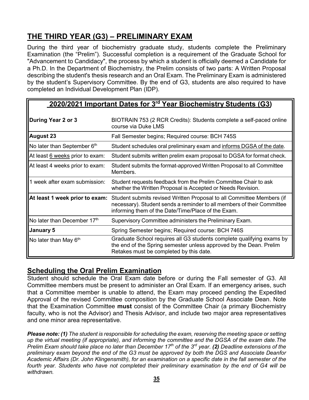# <span id="page-34-0"></span>**THE THIRD YEAR (G3) – PRELIMINARY EXAM**

During the third year of biochemistry graduate study, students complete the Preliminary Examination (the "Prelim"). Successful completion is a requirement of the Graduate School for "Advancement to Candidacy", the process by which a student is officially deemed a Candidate for a Ph.D. In the Department of Biochemistry, the Prelim consists of two parts: A Written Proposal describing the student's thesis research and an Oral Exam. The Preliminary Exam is administered by the student's Supervisory Committee. By the end of G3, students are also required to have completed an Individual Development Plan (IDP).

### **2020/2021 Important Dates for 3rd Year Biochemistry Students (G3)**

| During Year 2 or 3              | BIOTRAIN 753 (2 RCR Credits): Students complete a self-paced online<br>course via Duke LMS                                                                                                            |
|---------------------------------|-------------------------------------------------------------------------------------------------------------------------------------------------------------------------------------------------------|
| <b>August 23</b>                | Fall Semester begins; Required course: BCH 745S                                                                                                                                                       |
| No later than September 6th     | Student schedules oral preliminary exam and informs DGSA of the date.                                                                                                                                 |
| At least 6 weeks prior to exam: | Student submits written prelim exam proposal to DGSA for format check.                                                                                                                                |
| At least 4 weeks prior to exam: | Student submits the format-approved Written Proposal to all Committee<br>Members.                                                                                                                     |
| 1 week after exam submission:   | Student requests feedback from the Prelim Committee Chair to ask<br>whether the Written Proposal is Accepted or Needs Revision.                                                                       |
| At least 1 week prior to exam:  | Student submits revised Written Proposal to all Committee Members (if<br>necessary). Student sends a reminder to all members of their Committee<br>informing them of the Date/Time/Place of the Exam. |
| No later than December 17th     | Supervisory Committee administers the Preliminary Exam.                                                                                                                                               |
| <b>January 5</b>                | Spring Semester begins; Required course: BCH 746S                                                                                                                                                     |
| No later than May $6th$         | Graduate School requires all G3 students complete qualifying exams by<br>the end of the Spring semester unless approved by the Dean. Prelim<br>Retakes must be completed by this date.                |

### <span id="page-34-1"></span>**Scheduling the Oral Prelim Examination**

Student should schedule the Oral Exam date before or during the Fall semester of G3. All Committee members must be present to administer an Oral Exam. If an emergency arises, such that a Committee member is unable to attend, the Exam may proceed pending the Expedited Approval of the revised Committee composition by the Graduate School Associate Dean. Note that the Examination Committee **must** consist of the Committee Chair (a primary Biochemistry faculty, who is not the Advisor) and Thesis Advisor, and include two major area representatives and one minor area representative.

*Please note: (1) The student is responsible for scheduling the exam, reserving the meeting space or setting up the virtual meeting (if appropriate), and informing the committee and the DGSA of the exam date.The Prelim Exam should take place no later than December 17th of the 3rd year*. *(2) Deadline extensions of the preliminary exam beyond the end of the G3 must be approved by both the DGS and Associate Deanfor Academic Affairs (Dr. John Klingensmith), for an examination on a specific date in the fall semester of the fourth year. Students who have not completed their preliminary examination by the end of G4 will be withdrawn.*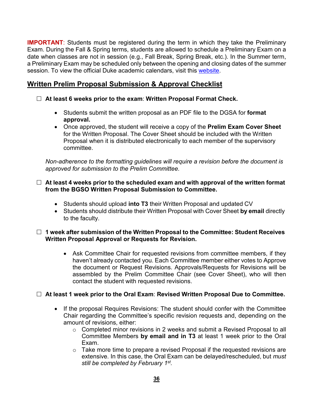**IMPORTANT**: Students must be registered during the term in which they take the Preliminary Exam. During the Fall & Spring terms, students are allowed to schedule a Preliminary Exam on a date when classes are not in session (e.g., Fall Break, Spring Break, etc.). In the Summer term, a Preliminary Exam may be scheduled only between the opening and closing dates of the summer session. To view the official Duke academic calendars, visit this [website.](https://registrar.duke.edu/calendars-key-dates/academic-calendar)

### <span id="page-35-0"></span>**Written Prelim Proposal Submission & Approval Checklist**

- **At least 6 weeks prior to the exam**: **Written Proposal Format Check.**
	- Students submit the written proposal as an PDF file to the DGSA for **format approval.**
	- Once approved, the student will receive a copy of the **Prelim Exam Cover Sheet** for the Written Proposal. The Cover Sheet should be included with the Written Proposal when it is distributed electronically to each member of the supervisory committee.

*Non-adherence to the formatting guidelines will require a revision before the document is approved for submission to the Prelim Committee.*

### **At least 4 weeks prior to the scheduled exam and with approval of the written format from the BGSO Written Proposal Submission to Committee.**

- Students should upload **into T3** their Written Proposal and updated CV
- Students should distribute their Written Proposal with Cover Sheet **by email** directly to the faculty.

### **1 week after submission of the Written Proposal to the Committee: Student Receives Written Proposal Approval or Requests for Revision.**

• Ask Committee Chair for requested revisions from committee members, if they haven't already contacted you. Each Committee member either votes to Approve the document or Request Revisions. Approvals/Requests for Revisions will be assembled by the Prelim Committee Chair (see Cover Sheet), who will then contact the student with requested revisions.

### **At least 1 week prior to the Oral Exam**: **Revised Written Proposal Due to Committee.**

- If the proposal Requires Revisions: The student should confer with the Committee Chair regarding the Committee's specific revision requests and, depending on the amount of revisions, either:
	- o Completed minor revisions in 2 weeks and submit a Revised Proposal to all Committee Members **by email and in T3** at least 1 week prior to the Oral Exam.
	- $\circ$  Take more time to prepare a revised Proposal if the requested revisions are extensive. In this case, the Oral Exam can be delayed/rescheduled, but *must still be completed by February 1st.*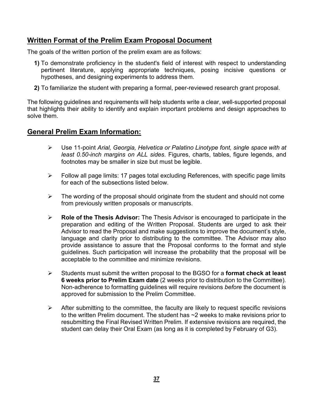### <span id="page-36-0"></span>**Written Format of the Prelim Exam Proposal Document**

The goals of the written portion of the prelim exam are as follows:

- **1)** To demonstrate proficiency in the student's field of interest with respect to understanding pertinent literature, applying appropriate techniques, posing incisive questions or hypotheses, and designing experiments to address them.
- **2)** To familiarize the student with preparing a formal, peer-reviewed research grant proposal.

The following guidelines and requirements will help students write a clear, well-supported proposal that highlights their ability to identify and explain important problems and design approaches to solve them.

### <span id="page-36-1"></span>**General Prelim Exam Information:**

- Use 11-point *Arial, Georgia, Helvetica or Palatino Linotype font, single space with at least 0.50-inch margins on ALL sides*. Figures, charts, tables, figure legends, and footnotes may be smaller in size but must be legible.
- $\triangleright$  Follow all page limits: 17 pages total excluding References, with specific page limits for each of the subsections listed below.
- $\triangleright$  The wording of the proposal should originate from the student and should not come from previously written proposals or manuscripts.
- **Role of the Thesis Advisor:** The Thesis Advisor is encouraged to participate in the preparation and editing of the Written Proposal. Students are urged to ask their Advisor to read the Proposal and make suggestions to improve the document's style, language and clarity prior to distributing to the committee. The Advisor may also provide assistance to assure that the Proposal conforms to the format and style guidelines. Such participation will increase the probability that the proposal will be acceptable to the committee and minimize revisions.
- Students must submit the written proposal to the BGSO for a **format check at least 6 weeks prior to Prelim Exam date** (2 weeks prior to distribution to the Committee). Non-adherence to formatting guidelines will require revisions *before* the document is approved for submission to the Prelim Committee.
- $\triangleright$  After submitting to the committee, the faculty are likely to request specific revisions to the written Prelim document. The student has ~2 weeks to make revisions prior to resubmitting the Final Revised Written Prelim. If extensive revisions are required, the student can delay their Oral Exam (as long as it is completed by February of G3).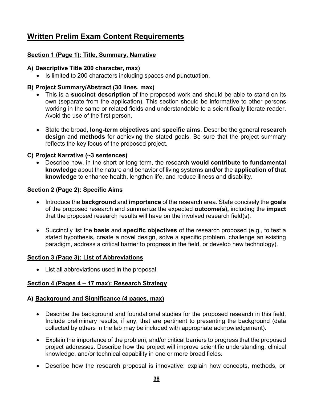# <span id="page-37-0"></span>**Written Prelim Exam Content Requirements**

### **Section 1 (Page 1): Title, Summary, Narrative**

### **A) Descriptive Title 200 character, max)**

• Is limited to 200 characters including spaces and punctuation.

### **B) Project Summary/Abstract (30 lines, max)**

- This is a **succinct description** of the proposed work and should be able to stand on its own (separate from the application). This section should be informative to other persons working in the same or related fields and understandable to a scientifically literate reader. Avoid the use of the first person.
- State the broad, **long-term objectives** and **specific aims**. Describe the general **research design** and **methods** for achieving the stated goals. Be sure that the project summary reflects the key focus of the proposed project.

### **C) Project Narrative (~3 sentences)**

• Describe how, in the short or long term, the research **would contribute to fundamental knowledge** about the nature and behavior of living systems **and/or** the **application of that knowledge** to enhance health, lengthen life, and reduce illness and disability.

### **Section 2 (Page 2): Specific Aims**

- Introduce the **background** and **importance** of the research area. State concisely the **goals** of the proposed research and summarize the expected **outcome(s),** including the **impact** that the proposed research results will have on the involved research field(s).
- Succinctly list the **basis** and **specific objectives** of the research proposed (e.g., to test a stated hypothesis, create a novel design, solve a specific problem, challenge an existing paradigm, address a critical barrier to progress in the field, or develop new technology).

### **Section 3 (Page 3): List of Abbreviations**

• List all abbreviations used in the proposal

### **Section 4 (Pages 4 – 17 max): Research Strategy**

### **A) Background and Significance (4 pages, max)**

- Describe the background and foundational studies for the proposed research in this field. Include preliminary results, if any, that are pertinent to presenting the background (data collected by others in the lab may be included with appropriate acknowledgement).
- Explain the importance of the problem, and/or critical barriers to progress that the proposed project addresses. Describe how the project will improve scientific understanding, clinical knowledge, and/or technical capability in one or more broad fields.
- Describe how the research proposal is innovative: explain how concepts, methods, or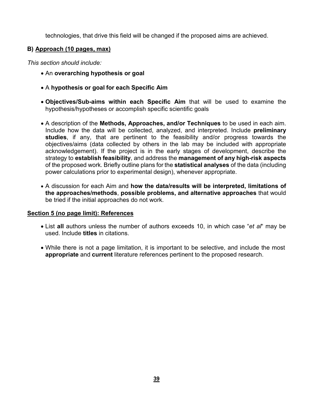technologies, that drive this field will be changed if the proposed aims are achieved.

### **B) Approach (10 pages, max)**

*This section should include:*

- An **overarching hypothesis or goal**
- A **hypothesis or goal for each Specific Aim**
- **Objectives/Sub-aims within each Specific Aim** that will be used to examine the hypothesis/hypotheses or accomplish specific scientific goals
- A description of the **Methods, Approaches, and/or Techniques** to be used in each aim. Include how the data will be collected, analyzed, and interpreted. Include **preliminary studies**, if any, that are pertinent to the feasibility and/or progress towards the objectives/aims (data collected by others in the lab may be included with appropriate acknowledgement). If the project is in the early stages of development, describe the strategy to **establish feasibility**, and address the **management of any high-risk aspects** of the proposed work. Briefly outline plans for the **statistical analyses** of the data (including power calculations prior to experimental design), whenever appropriate.
- A discussion for each Aim and **how the data/results will be interpreted, limitations of the approaches/methods**, **possible problems, and alternative approaches** that would be tried if the initial approaches do not work.

### **Section 5 (no page limit): References**

- List **all** authors unless the number of authors exceeds 10, in which case "*et al*" may be used. Include **titles** in citations.
- While there is not a page limitation, it is important to be selective, and include the most **appropriate** and **current** literature references pertinent to the proposed research.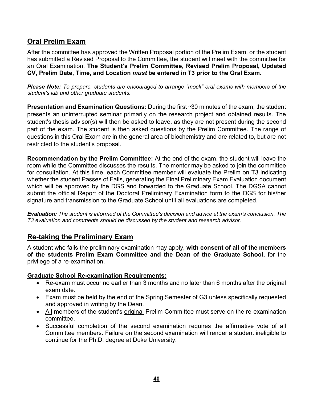### <span id="page-39-0"></span>**Oral Prelim Exam**

After the committee has approved the Written Proposal portion of the Prelim Exam, or the student has submitted a Revised Proposal to the Committee, the student will meet with the committee for an Oral Examination. **The Student's Prelim Committee, Revised Prelim Proposal, Updated CV, Prelim Date, Time, and Location** *must* **be entered in T3 prior to the Oral Exam.**

*Please Note: To prepare, students are encouraged to arrange "mock" oral exams with members of the student's lab and other graduate students.*

**Presentation and Examination Questions:** During the first ~30 minutes of the exam, the student presents an uninterrupted seminar primarily on the research project and obtained results. The student's thesis advisor(s) will then be asked to leave, as they are not present during the second part of the exam. The student is then asked questions by the Prelim Committee. The range of questions in this Oral Exam are in the general area of biochemistry and are related to, but are not restricted to the student's proposal.

**Recommendation by the Prelim Committee:** At the end of the exam, the student will leave the room while the Committee discusses the results. The mentor may be asked to join the committee for consultation. At this time, each Committee member will evaluate the Prelim on T3 indicating whether the student Passes of Fails, generating the Final Preliminary Exam Evaluation document which will be approved by the DGS and forwarded to the Graduate School. The DGSA cannot submit the official Report of the Doctoral Preliminary Examination form to the DGS for his/her signature and transmission to the Graduate School until all evaluations are completed.

*Evaluation: The student is informed of the Committee's decision and advice at the exam's conclusion. The T3 evaluation and comments should be discussed by the student and research advisor.*

### <span id="page-39-1"></span>**Re-taking the Preliminary Exam**

A student who fails the preliminary examination may apply, **with consent of all of the members of the students Prelim Exam Committee and the Dean of the Graduate School,** for the privilege of a re-examination.

### **Graduate School Re-examination Requirements:**

- Re-exam must occur no earlier than 3 months and no later than 6 months after the original exam date.
- Exam must be held by the end of the Spring Semester of G3 unless specifically requested and approved in writing by the Dean.
- All members of the student's original Prelim Committee must serve on the re-examination committee.
- Successful completion of the second examination requires the affirmative vote of all Committee members. Failure on the second examination will render a student ineligible to continue for the Ph.D. degree at Duke University.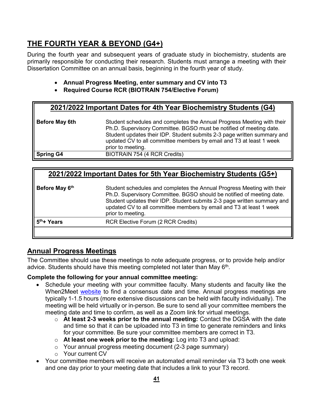# <span id="page-40-0"></span>**THE FOURTH YEAR & BEYOND (G4+)**

During the fourth year and subsequent years of graduate study in biochemistry, students are primarily responsible for conducting their research. Students must arrange a meeting with their Dissertation Committee on an annual basis, beginning in the fourth year of study.

- **Annual Progress Meeting, enter summary and CV into T3**
- **Required Course RCR (BIOTRAIN 754/Elective Forum)**

### **2021/2022 Important Dates for 4th Year Biochemistry Students (G4)**

| Before May 6th   | Student schedules and completes the Annual Progress Meeting with their<br>Ph.D. Supervisory Committee. BGSO must be notified of meeting date.<br>Student updates their IDP. Student submits 2-3 page written summary and<br>updated CV to all committee members by email and T3 at least 1 week<br>prior to meeting. |
|------------------|----------------------------------------------------------------------------------------------------------------------------------------------------------------------------------------------------------------------------------------------------------------------------------------------------------------------|
| <b>Spring G4</b> | BIOTRAIN 754 (4 RCR Credits)                                                                                                                                                                                                                                                                                         |

### **2021/2022 Important Dates for 5th Year Biochemistry Students (G5+)**

| Before May 6th          | Student schedules and completes the Annual Progress Meeting with their<br>Ph.D. Supervisory Committee. BGSO should be notified of meeting date.<br>Student updates their IDP. Student submits 2-3 page written summary and<br>updated CV to all committee members by email and T3 at least 1 week<br>prior to meeting. |
|-------------------------|------------------------------------------------------------------------------------------------------------------------------------------------------------------------------------------------------------------------------------------------------------------------------------------------------------------------|
| 5 <sup>th</sup> + Years | <b>RCR Elective Forum (2 RCR Credits)</b>                                                                                                                                                                                                                                                                              |
|                         |                                                                                                                                                                                                                                                                                                                        |

### <span id="page-40-1"></span>**Annual Progress Meetings**

The Committee should use these meetings to note adequate progress, or to provide help and/or advice. Students should have this meeting completed not later than May  $6<sup>th</sup>$ .

### **Complete the following for your annual committee meeting:**

- Schedule your meeting with your committee faculty. Many students and faculty like the When2Meet [website](https://www.when2meet.com/) to find a consensus date and time. Annual progress meetings are typically 1-1.5 hours (more extensive discussions can be held with faculty individually). The meeting will be held virtually or in-person. Be sure to send all your committee members the meeting date and time to confirm, as well as a Zoom link for virtual meetings.
	- o **At least 2-3 weeks prior to the annual meeting:** Contact the DGSA with the date and time so that it can be uploaded into T3 in time to generate reminders and links for your committee. Be sure your committee members are correct in T3.
	- o **At least one week prior to the meeting:** Log into T3 and upload:
	- o Your annual progress meeting document (2-3 page summary)
	- o Your current CV
- Your committee members will receive an automated email reminder via T3 both one week and one day prior to your meeting date that includes a link to your T3 record.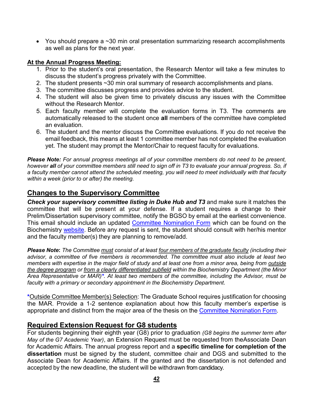• You should prepare a ~30 min oral presentation summarizing research accomplishments as well as plans for the next year.

### **At the Annual Progress Meeting:**

- 1. Prior to the student's oral presentation, the Research Mentor will take a few minutes to discuss the student's progress privately with the Committee.
- 2. The student presents ~30 min oral summary of research accomplishments and plans.
- 3. The committee discusses progress and provides advice to the student.
- 4. The student will also be given time to privately discuss any issues with the Committee without the Research Mentor.
- 5. Each faculty member will complete the evaluation forms in T3. The comments are automatically released to the student once **all** members of the committee have completed an evaluation.
- 6. The student and the mentor discuss the Committee evaluations. If you do not receive the email feedback, this means at least 1 committee member has not completed the evaluation yet. The student may prompt the Mentor/Chair to request faculty for evaluations.

*Please Note: For annual progress meetings all of your committee members do not need to be present,* however all of your committee members still need to sign off in T3 to evaluate your annual progress. So, if *a faculty member cannot attend the scheduled meeting, you will need to meet individually with that faculty within a week (prior to or after) the meeting.*

### <span id="page-41-0"></span>**Changes to the Supervisory Committee**

*Check your supervisory committee listing in Duke Hub and T3* and make sure it matches the committee that will be present at your defense. If a student requires a change to their Prelim/Dissertation supervisory committee, notify the BGSO by email at the earliest convenience. This email should include an updated [Committee Nomination Form](https://www.biochem.duke.edu/sites/default/files/2021-04/Committee%20Nomination%20Form.pdf) which can be found on the Biochemistry [website.](https://www.biochem.duke.edu/about/resources/current-graduate-student-information) Before any request is sent, the student should consult with her/his mentor and the faculty member(s) they are planning to remove/add.

Please Note: The Committee must consist of at least four members of the graduate faculty (including their *advisor, a committee of five members is recommended. The committee must also include at least two members with expertise in the major field of study and at least one from a minor area, being from outside the degree program or from a clearly differentiated subfield within the Biochemistry Department (the Minor Area Representative or MAR)\*. At least two members of the committee, including the Advisor, must be faculty with a primary or secondary appointment in the Biochemistry Department.*

**\***Outside Committee Member(s) Selection: The Graduate School requires justification for choosing the MAR. Provide a 1-2 sentence explanation about how this faculty member's expertise is appropriate and distinct from the major area of the thesis on the **Committee [Nomination](https://www.biochem.duke.edu/sites/default/files/2021-04/Committee%20Nomination%20Form.pdf) Form**.

### <span id="page-41-1"></span>**Required Extension Request for G8 students**

For students beginning their eighth year (G8) prior to graduation *(G8 begins the summer term after May of the G7 Academic Year)*, an Extension Request must be requested from theAssociate Dean for Academic Affairs. The annual progress report and a **specific timeline for completion of the dissertation** must be signed by the student, committee chair and DGS and submitted to the Associate Dean for Academic Affairs. If the granted and the dissertation is not defended and accepted by the new deadline, the student will be withdrawn from candidacy.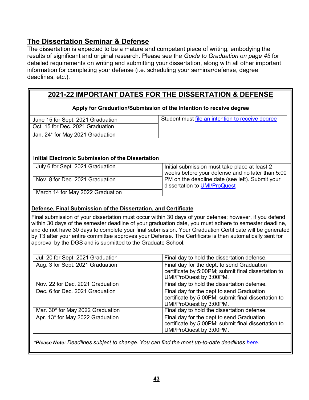### <span id="page-42-0"></span>**The Dissertation Seminar & Defense**

The dissertation is expected to be a mature and competent piece of writing, embodying the results of significant and original research. Please see the *Guide to Graduation on page 45* for detailed requirements on writing and submitting your dissertation, along with all other important information for completing your defense (i.e. scheduling your seminar/defense, degree deadlines, etc.).

### **2021-22 IMPORTANT DATES FOR THE DISSERTATION & DEFENSE**

### **Apply for Graduation/Submission of the Intention to receive degree**

Oct. 15 for Dec. 2021 Graduation

June 15 for Sept. 2021 Graduation **Student must of Student must** [file](http://gradschool.duke.edu/academics/apply_to_grad.php) an intention to receive degree

Jan. 24\* for May 2021 Graduation

### **Initial Electronic Submission of the Dissertation**

| July 6 for Sept. 2021 Graduation | Initial submission must take place at least 2<br>weeks before your defense and no later than 5:00 |  |
|----------------------------------|---------------------------------------------------------------------------------------------------|--|
| Nov. 8 for Dec. 2021 Graduation  | PM on the deadline date (see left). Submit your<br>dissertation to UMI/ProQuest                   |  |
| March 14 for May 2022 Graduation |                                                                                                   |  |

### **Defense, Final Submission of the Dissertation, and Certificate**

Final submission of your dissertation must occur within 30 days of your defense; however, if you defend within 30 days of the semester deadline of your graduation date, you must adhere to semester deadline, and do not have 30 days to complete your final submission. Your Graduation Certificate will be generated by T3 after your entire committee approves your Defense. The Certificate is then automatically sent for approval by the DGS and is submitted to the Graduate School.

| Jul. 20 for Sept. 2021 Graduation<br>Final day to hold the dissertation defense.            |                                                                                                   |  |  |
|---------------------------------------------------------------------------------------------|---------------------------------------------------------------------------------------------------|--|--|
| Aug. 3 for Sept. 2021 Graduation                                                            | Final day for the dept. to send Graduation<br>certificate by 5:00PM; submit final dissertation to |  |  |
|                                                                                             |                                                                                                   |  |  |
| Final day to hold the dissertation defense.<br>Nov. 22 for Dec. 2021 Graduation             |                                                                                                   |  |  |
| Dec. 6 for Dec. 2021 Graduation                                                             | Final day for the dept to send Graduation                                                         |  |  |
|                                                                                             |                                                                                                   |  |  |
| UMI/ProQuest by 3:00PM.                                                                     |                                                                                                   |  |  |
| Final day to hold the dissertation defense.<br>Mar. 30 <sup>*</sup> for May 2022 Graduation |                                                                                                   |  |  |
| Apr. 13* for May 2022 Graduation                                                            | Final day for the dept to send Graduation                                                         |  |  |
| certificate by 5:00PM; submit final dissertation to                                         |                                                                                                   |  |  |
| UMI/ProQuest by 3:00PM.                                                                     |                                                                                                   |  |  |
| UMI/ProQuest by 3:00PM.<br>certificate by 5:00PM; submit final dissertation to              |                                                                                                   |  |  |

*\*Please Note: Deadlines subject to change*. *You can find the most up-to-date deadlines [here](https://gradschool.duke.edu/sites/default/files/documents/graduation_deadlines.pdf)*.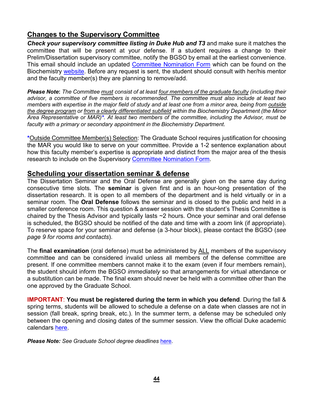### <span id="page-43-0"></span>**Changes to the Supervisory Committee**

*Check your supervisory committee listing in Duke Hub and T3* and make sure it matches the committee that will be present at your defense. If a student requires a change to their Prelim/Dissertation supervisory committee, notify the BGSO by email at the earliest convenience. This email should include an updated [Committee Nomination Form](https://www.biochem.duke.edu/sites/default/files/2021-04/Committee%20Nomination%20Form.pdf) which can be found on the Biochemistry [website.](https://www.biochem.duke.edu/about/resources/current-graduate-student-information) Before any request is sent, the student should consult with her/his mentor and the faculty member(s) they are planning to remove/add.

Please Note: The Committee must consist of at least four members of the graduate faculty (including their *advisor, a committee of five members is recommended. The committee must also include at least two members with expertise in the major field of study and at least one from a minor area, being from outside the degree program or from a clearly differentiated subfield within the Biochemistry Department (the Minor Area Representative or MAR)\*. At least two members of the committee, including the Advisor, must be faculty with a primary or secondary appointment in the Biochemistry Department.*

**\***Outside Committee Member(s) Selection: The Graduate School requires justification for choosing the MAR you would like to serve on your committee. Provide a 1-2 sentence explanation about how this faculty member's expertise is appropriate and distinct from the major area of the thesis research to include on the Supervisory Committee [Nomination](https://www.biochem.duke.edu/sites/default/files/2021-04/Committee%20Nomination%20Form.pdf) Form.

### <span id="page-43-1"></span>**Scheduling your dissertation seminar & defense**

The Dissertation Seminar and the Oral Defense are generally given on the same day during consecutive time slots. The **seminar** is given first and is an hour-long presentation of the dissertation research. It is open to all members of the department and is held virtually or in a seminar room. The **Oral Defense** follows the seminar and is closed to the public and held in a smaller conference room. This question & answer session with the student's Thesis Committee is chaired by the Thesis Advisor and typically lasts ~2 hours. Once your seminar and oral defense is scheduled, the BGSO should be notified of the date and time with a zoom link (if appropriate). To reserve space for your seminar and defense (a 3-hour block), please contact the BGSO (*see page 9 for rooms and contacts*).

The **final examination** (oral defense) must be administered by ALL members of the supervisory committee and can be considered invalid unless all members of the defense committee are present. If one committee members cannot make it to the exam (even if four members remain), the student should inform the BGSO *immediately* so that arrangements for virtual attendance or a substitution can be made. The final exam should never be held with a committee other than the one approved by the Graduate School.

**IMPORTANT**: **You must be registered during the term in which you defend**. During the fall & spring terms, students will be allowed to schedule a defense on a date when classes are not in session (fall break, spring break, etc.). In the summer term, a defense may be scheduled only between the opening and closing dates of the summer session. View the official Duke academic calendars [here.](http://registrar.duke.edu/academic-calendar)

*Please Note: See Graduate School degree deadlines* [here.](https://gradschool.duke.edu/academics/preparing-graduate/graduation-deadlines)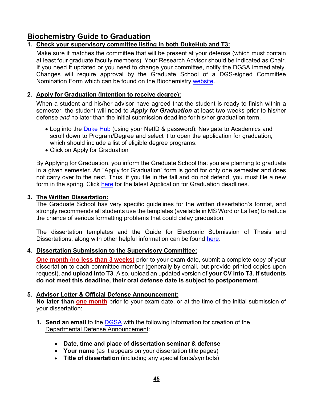### <span id="page-44-0"></span>**Biochemistry Guide to Graduation**

### **1. Check your supervisory committee listing in both DukeHub and T3:**

Make sure it matches the committee that will be present at your defense (which must contain at least four graduate faculty members). Your Research Advisor should be indicated as Chair. If you need it updated or you need to change your committee, notify the DGSA immediately. Changes will require approval by the Graduate School of a DGS-signed Committee Nomination Form which can be found on the Biochemistry [website.](https://www.biochem.duke.edu/about/resources/current-graduate-student-information)

### **2. Apply for Graduation (Intention to receive degree):**

When a student and his/her advisor have agreed that the student is ready to finish within a semester, the student will need to *Apply for Graduation* at least two weeks prior to his/her defense *and* no later than the initial submission deadline for his/her graduation term.

- Log into the **[Duke Hub](https://dukehub.duke.edu/)** (using your NetID & password): Navigate to Academics and scroll down to Program/Degree and select it to open the application for graduation, which should include a list of eligible degree programs.
- Click on Apply for Graduation

By Applying for Graduation, you inform the Graduate School that you are planning to graduate in a given semester. An "Apply for Graduation" form is good for only one semester and does not carry over to the next. Thus, if you file in the fall and do not defend, you must file a new form in the spring. Click [here](https://gradschool.duke.edu/academics/preparing-graduate/graduation-deadlines) for the latest Application for Graduation deadlines.

### **3. The Written Dissertation:**

The Graduate School has very specific guidelines for the written dissertation's format, and strongly recommends all students use the templates (available in MS Word or LaTex) to reduce the chance of serious formatting problems that could delay graduation.

The dissertation templates and the Guide for Electronic Submission of Thesis and Dissertations, along with other helpful information can be found [here.](http://gradschool.duke.edu/academics/theses-and-dissertations)

### **4. Dissertation Submission to the Supervisory Committee:**

**One month (no less than 3 weeks)** prior to your exam date, submit a complete copy of your dissertation to each committee member (generally by email, but provide printed copies upon request), and **upload into T3**. Also, upload an updated version of **your CV into T3. If students do not meet this deadline, their oral defense date is subject to postponement.**

### **5. Advisor Letter & Official Defense Announcement:**

No later than **one month** prior to your exam date, or at the time of the initial submission of your dissertation:

- **1. Send an email** to the [DGSA](mailto:norfleet@duke.edu) with the following information for creation of the Departmental Defense Announcement:
	- **Date, time and place of dissertation seminar & defense**
	- **Your name** (as it appears on your dissertation title pages)
	- **Title of dissertation** (including any special fonts/symbols)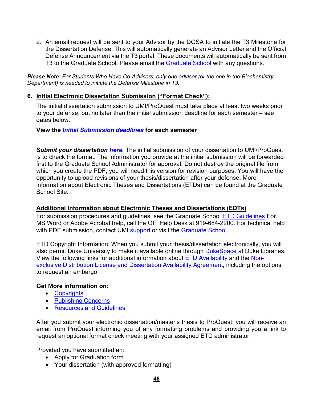2. An email request will be sent to your Advisor by the DGSA to initiate the T3 Milestone for the Dissertation Defense. This will automatically generate an Advisor Letter and the Official Defense Announcement via the T3 portal. These documents will automatically be sent from T3 to the [Graduate](mailto:gradacademics@duke.edu) School. Please email the Graduate School with any questions.

*Please Note: For Students Who Have Co-Advisors, only one advisor (or the one in the Biochemistry Department) is needed to initiate the Defense Milestone in T3.*

### **6. Initial Electronic Dissertation Submission ("Format Check"):**

The initial dissertation submission to UMI/ProQuest must take place at least two weeks prior to your defense, but no later than the initial submission deadline for each semester – see dates below.

### **View the** *Initial [Submission](https://gradschool.duke.edu/academics/preparing-graduate/graduation-deadlines) deadlines* **for each semester**

*Submit your dissertation [here.](https://www.etdadmin.com/main/home?siteId=17)* The initial submission of your dissertation to UMI/ProQuest is to check the format. The information you provide at the initial submission will be forwarded first to the Graduate School Administrator for approval. Do not destroy the original file from which you create the PDF, you will need this version for revision purposes. You will have the opportunity to upload revisions of your thesis/dissertation after your defense. More information about Electronic Theses and Dissertations (ETDs) can be found at the Graduate School Site.

### **Additional Information about Electronic Theses and Dissertations (EDTs)**

For submission procedures and guidelines, see the Graduate School [ETD Guidelines](http://gradschool.duke.edu/academics/theses-and-dissertations/overview) For MS Word or Adobe Acrobat help, call the OIT Help Desk at 919-684-2200. For technical help with PDF submission, contact UMI [support](mailto:support@dissertation.umi.com) or visit the [Graduate](https://gradschool.duke.edu/academics/theses-and-dissertations) School.

ETD Copyright Information: When you submit your thesis/dissertation electronically, you will also permit Duke University to make it available online through [DukeSpace](http://dukespace.lib.duke.edu/dspace/) at Duke Libraries. View the following links for additional information about [ETD Availability](http://gradschool.duke.edu/academics/theses-and-dissertations/etd-publishing-concerns) and the [Non](http://gradschool.duke.edu/sites/default/files/documents/form_nonexclusive_distribution_license.pdf)[exclusive Distribution License and Dissertation Availability Agreement,](http://gradschool.duke.edu/sites/default/files/documents/form_nonexclusive_distribution_license.pdf) including the options to request an embargo.

### **Get More information on:**

- [Copyrights](http://gradschool.duke.edu/academics/theses-and-dissertations/etd-copyright-information)
- [Publishing](http://gradschool.duke.edu/academics/theses-and-dissertations/etd-publishing-concerns) Concerns
- [Resources](http://www.etdadmin.com/cgi-bin/main/resources) and Guidelines

After you submit your electronic dissertation/master's thesis to ProQuest, you will receive an email from ProQuest informing you of any formatting problems and providing you a link to request an optional format check meeting with your assigned ETD administrator.

Provided you have submitted an:

- Apply for Graduation form
- Your dissertation (with approved formatting)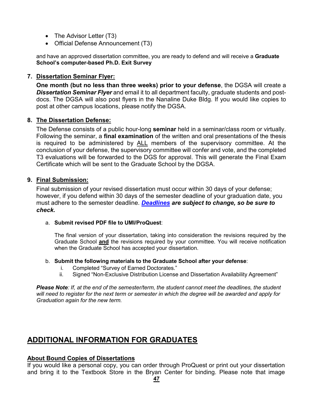- The Advisor Letter (T3)
- Official Defense Announcement (T3)

and have an approved dissertation committee, you are ready to defend and will receive a **Graduate School's computer-based Ph.D. Exit Survey**

### **7. Dissertation Seminar Flyer:**

**One month (but no less than three weeks) prior to your defense**, the DGSA will create a *Dissertation Seminar Flyer* and email it to all department faculty, graduate students and postdocs. The DGSA will also post flyers in the Nanaline Duke Bldg. If you would like copies to post at other campus locations, please notify the DGSA.

### **8. The Dissertation Defense:**

The Defense consists of a public hour-long **seminar** held in a seminar/class room or virtually. Following the seminar, a **final examination** of the written and oral presentations of the thesis is required to be administered by ALL members of the supervisory committee. At the conclusion of your defense, the supervisory committee will confer and vote, and the completed T3 evaluations will be forwarded to the DGS for approval. This will generate the Final Exam Certificate which will be sent to the Graduate School by the DGSA.

### **9. Final Submission:**

Final submission of your revised dissertation must occur within 30 days of your defense; however, if you defend within 30 days of the semester deadline of your graduation date, you must adhere to the semester deadline. *[Deadlines](https://gradschool.duke.edu/academics/preparing-graduate/graduation-deadlines) are subject to change, so be sure to check.*

### a. **Submit revised PDF file to UMI/ProQuest**:

The final version of your dissertation, taking into consideration the revisions required by the Graduate School **and** the revisions required by your committee. You will receive notification when the Graduate School has accepted your dissertation.

### b. **Submit the following materials to the Graduate School after your defense**:

- i. Completed "Survey of Earned Doctorates."
- ii. Signed "Non-Exclusive Distribution License and Dissertation Availability Agreement"

*Please Note: If, at the end of the semester/term, the student cannot meet the deadlines, the student will need to register for the next term or semester in which the degree will be awarded and apply for Graduation again for the new term.*

# <span id="page-46-0"></span>**ADDITIONAL INFORMATION FOR GRADUATES**

### **About Bound Copies of Dissertations**

If you would like a personal copy, you can order through ProQuest or print out your dissertation and bring it to the Textbook Store in the Bryan Center for binding. Please note that image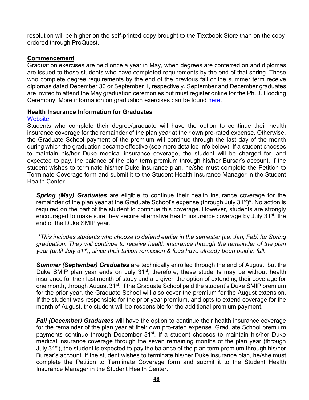resolution will be higher on the self-printed copy brought to the Textbook Store than on the copy ordered through ProQuest.

#### **Commencement**

Graduation exercises are held once a year in May, when degrees are conferred on and diplomas are issued to those students who have completed requirements by the end of that spring. Those who complete degree requirements by the end of the previous fall or the summer term receive diplomas dated December 30 or September 1, respectively. September and December graduates are invited to attend the May graduation ceremonies but must register online for the Ph.D. Hooding Ceremony. More information on graduation exercises can be found [here.](https://gradschool.duke.edu/student-life/calendar-events/commencement)

#### **Health Insurance Information for Graduates**

#### **[Website](https://studentaffairs.duke.edu/studenthealth/health-insurance)**

Students who complete their degree/graduate will have the option to continue their health insurance coverage for the remainder of the plan year at their own pro-rated expense. Otherwise, the Graduate School payment of the premium will continue through the last day of the month during which the graduation became effective (see more detailed info below). If a student chooses to maintain his/her Duke medical insurance coverage, the student will be charged for, and expected to pay, the balance of the plan term premium through his/her Bursar's account. If the student wishes to terminate his/her Duke insurance plan, he/she must complete the Petition to Terminate Coverage form and submit it to the Student Health Insurance Manager in the Student Health Center.

*Spring (May) Graduates* are eligible to continue their health insurance coverage for the remainder of the plan year at the Graduate School's expense (through July 31<sup>st)\*</sup>. No action is required on the part of the student to continue this coverage. However, students are strongly encouraged to make sure they secure alternative health insurance coverage by July 31<sup>st</sup>, the end of the Duke SMIP year.

*\*This includes students who choose to defend earlier in the semester (i.e. Jan, Feb) for Spring graduation. They will continue to receive health insurance through the remainder of the plan year (until July 31st), since their tuition remission & fees have already been paid in full.*

*Summer (September) Graduates* are technically enrolled through the end of August, but the Duke SMIP plan year ends on July 31<sup>st</sup>, therefore, these students may be without health insurance for their last month of study and are given the option of extending their coverage for one month, through August 31<sup>st</sup>. If the Graduate School paid the student's Duke SMIP premium for the prior year, the Graduate School will also cover the premium for the August extension. If the student was responsible for the prior year premium, and opts to extend coverage for the month of August, the student will be responsible for the additional premium payment.

*Fall (December) Graduates* will have the option to continue their health insurance coverage for the remainder of the plan year at their own pro-rated expense. Graduate School premium payments continue through December 31<sup>st</sup>. If a student chooses to maintain his/her Duke medical insurance coverage through the seven remaining months of the plan year (through July 31<sup>st</sup>), the student is expected to pay the balance of the plan term premium through his/her Bursar's account. If the student wishes to terminate his/her Duke insurance plan, he/she must complete the Petition to Terminate Coverage form and submit it to the Student Health Insurance Manager in the Student Health Center.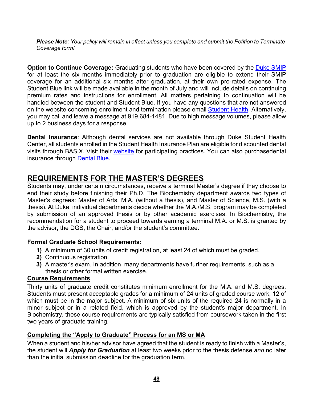*Please Note: Your policy will remain in effect unless you complete and submit the Petition to Terminate Coverage form!*

**Option to Continue Coverage:** Graduating students who have been covered by the [Duke SMIP](http://studentaffairs.duke.edu/studenthealth/health-insurance) for at least the six months immediately prior to graduation are eligible to extend their SMIP coverage for an additional six months after graduation, at their own pro-rated expense. The Student Blue link will be made available in the month of July and will include details on continuing premium rates and instructions for enrollment. All matters pertaining to continuation will be handled between the student and Student Blue. If you have any questions that are not answered on the website concerning enrollment and termination please email [Student](mailto:insurance@studentaffairs.duke.edu) Health. Alternatively, you may call and leave a message at 919.684-1481. Due to high message volumes, please allow up to 2 business days for a response.

**Dental Insurance**: Although dental services are not available through Duke Student Health Center, all students enrolled in the Student Health Insurance Plan are eligible for discounted dental visits through BASIX. Visit their [website](https://www.basixstudent.com/%23/) for participating practices. You can also purchasedental insurance through [Dental Blue.](http://www.bcbsnc.com/content/plans/dentalblue/index.htm)

### <span id="page-48-0"></span>**REQUIREMENTS FOR THE MASTER'S DEGREES**

Students may, under certain circumstances, receive a terminal Master's degree if they choose to end their study before finishing their Ph.D. The Biochemistry department awards two types of Master's degrees: Master of Arts, M.A. (without a thesis), and Master of Science, M.S. (with a thesis). At Duke, individual departments decide whether the M.A./M.S. program may be completed by submission of an approved thesis or by other academic exercises. In Biochemistry, the recommendation for a student to proceed towards earning a terminal M.A. or M.S. is granted by the advisor, the DGS, the Chair, and/or the student's committee.

### **Formal Graduate School Requirements:**

- **1)** A minimum of 30 units of credit registration, at least 24 of which must be graded.
- **2)** Continuous registration.
- **3)** A master's exam. In addition, many departments have further requirements, such as a thesis or other formal written exercise.

### **Course Requirements**

Thirty units of graduate credit constitutes minimum enrollment for the M.A. and M.S. degrees. Students must present acceptable grades for a minimum of 24 units of graded course work, 12 of which must be in the major subject. A minimum of six units of the required 24 is normally in a minor subject or in a related field, which is approved by the student's major department. In Biochemistry, these course requirements are typically satisfied from coursework taken in the first two years of graduate training.

### **Completing the "Apply to Graduate" Process for an MS or MA**

When a student and his/her advisor have agreed that the student is ready to finish with a Master's, the student will *Apply for Graduation* at least two weeks prior to the thesis defense *and* no later than the initial submission deadline for the graduation term.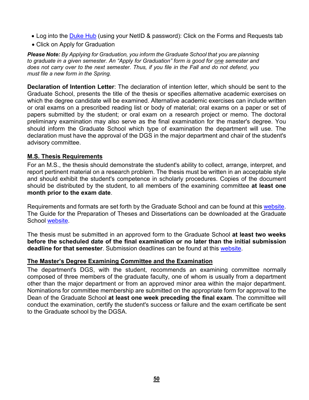- Log into the [Duke](https://dukehub.duke.edu/) Hub (using your NetID & password): Click on the Forms and Requests tab
- Click on Apply for Graduation

*Please Note: By Applying for Graduation, you inform the Graduate School that you are planning to graduate in a given semester. An "Apply for Graduation" form is good for one semester and does not carry over to the next semester. Thus, if you file in the Fall and do not defend, you must file a new form in the Spring.*

**Declaration of Intention Letter**: The declaration of intention letter, which should be sent to the Graduate School, presents the title of the thesis or specifies alternative academic exercises on which the degree candidate will be examined. Alternative academic exercises can include written or oral exams on a prescribed reading list or body of material; oral exams on a paper or set of papers submitted by the student; or oral exam on a research project or memo. The doctoral preliminary examination may also serve as the final examination for the master's degree. You should inform the Graduate School which type of examination the department will use. The declaration must have the approval of the DGS in the major department and chair of the student's advisory committee.

### **M.S. Thesis Requirements**

For an M.S., the thesis should demonstrate the student's ability to collect, arrange, interpret, and report pertinent material on a research problem. The thesis must be written in an acceptable style and should exhibit the student's competence in scholarly procedures. Copies of the document should be distributed by the student, to all members of the examining committee **at least one month prior to the exam date**.

Requirements and formats are set forth by the Graduate School and can be found at this [website.](https://gradschool.duke.edu/academics/theses-and-dissertations) The Guide for the Preparation of Theses and Dissertations can be downloaded at the Graduate School [website.](https://gradschool.duke.edu/sites/default/files/documents/ElectronicThesisDissGuide.pdf)

The thesis must be submitted in an approved form to the Graduate School **at least two weeks before the scheduled date of the final examination or no later than the initial submission deadline for that semester**. Submission deadlines can be found at this [website.](https://gradschool.duke.edu/academics/preparing-graduate/graduation-deadlines)

### **The Master's Degree Examining Committee and the Examination**

The department's DGS, with the student, recommends an examining committee normally composed of three members of the graduate faculty, one of whom is usually from a department other than the major department or from an approved minor area within the major department. Nominations for committee membership are submitted on the appropriate form for approval to the Dean of the Graduate School **at least one week preceding the final exam**. The committee will conduct the examination, certify the student's success or failure and the exam certificate be sent to the Graduate school by the DGSA.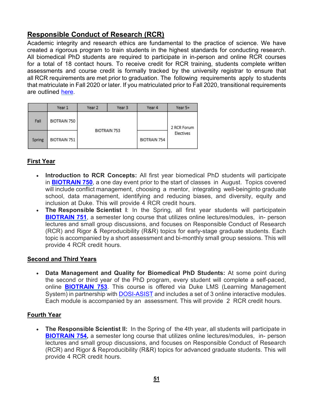# <span id="page-50-0"></span>**Responsible Conduct of Research (RCR)**

Academic integrity and research ethics are fundamental to the practice of science. We have created a rigorous program to train students in the highest standards for conducting research. All biomedical PhD students are required to participate in in-person and online RCR courses for a total of 18 contact hours. To receive credit for RCR training, students complete written assessments and course credit is formally tracked by the university registrar to ensure that all RCR requirements are met prior to graduation. The following requirements apply to students that matriculate in Fall 2020 or later. If you matriculated prior to Fall 2020, transitional requirements are outlined [here.](https://medschool.duke.edu/education/biomedical-phd-programs/office-biomedical-graduate-education/responsible-conduct-0)

|        | Year 1       | Year 2       | Year 3 | Year 4              | Year 5+                  |
|--------|--------------|--------------|--------|---------------------|--------------------------|
| Fall   | BIOTRAIN 750 | BIOTRAIN 753 |        |                     | 2 RCR Forum<br>Electives |
| Spring | BIOTRAIN 751 |              |        | <b>BIOTRAIN 754</b> |                          |

### **First Year**

- **Introduction to RCR Concepts:** All first year biomedical PhD students will participate in **[BIOTRAIN](https://medschool.duke.edu/education/biomedical-phd-programs/office-biomedical-graduate-education/responsible-conduct-1) 750**, a one day event prior to the start of classes in August. Topics covered will include conflict management, choosing a mentor, integrating well-beinginto graduate school, data management, identifying and reducing biases, and diversity, equity and inclusion at Duke. This will provide 4 RCR credit hours.
- **The Responsible Scientist I**: In the Spring, all first year students will participatein **[BIOTRAIN](https://medschool.duke.edu/education/biomedical-phd-programs/office-biomedical-graduate-education/responsible-conduct-2) 751**, a semester long course that utilizes online lectures/modules, in- person lectures and small group discussions, and focuses on Responsible Conduct of Research (RCR) and Rigor & Reproducibility (R&R) topics for early-stage graduate students. Each topic is accompanied by a short assessment and bi-monthly small group sessions. This will provide 4 RCR credit hours.

### **Second and Third Years**

• **Data Management and Quality for Biomedical PhD Students:** At some point during the second or third year of the PhD program, every student will complete a self-paced, online **[BIOTRAIN 753](https://medschool.duke.edu/education/biomedical-phd-programs/office-biomedical-graduate-education/responsible-conduct-3)**. This course is offered via Duke LMS (Learning Management System) in partnership with [DOSI-ASIST](https://dosi.duke.edu/) and includes a set of 3 online interactive modules. Each module is accompanied by an assessment. This will provide 2 RCR credit hours.

### **Fourth Year**

• **The Responsible Scientist II:** In the Spring of the 4th year, all students will participate in **[BIOTRAIN](https://medschool.duke.edu/education/biomedical-phd-programs/office-biomedical-graduate-education/responsible-conduct-4) 754,** a semester long course that utilizes online lectures/modules, in- person lectures and small group discussions, and focuses on Responsible Conduct of Research (RCR) and Rigor & Reproducibility (R&R) topics for advanced graduate students. This will provide 4 RCR credit hours.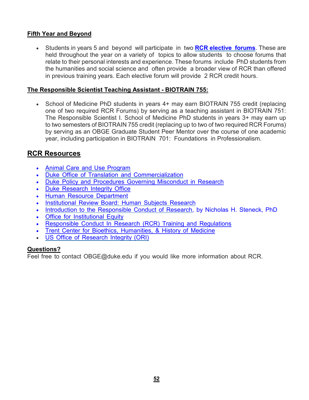### **Fifth Year and Beyond**

• Students in years 5 and beyond will participate in two **[RCR elective](https://gradschool.duke.edu/professional-development/programs/responsible-conduct-research/rcr-forums) forums**. These are held throughout the year on a variety of topics to allow students to choose forums that relate to their personal interests and experience. These forums include PhD students from the humanities and social science and often provide a broader view of RCR than offered in previous training years. Each elective forum will provide 2 RCR credit hours.

### **The Responsible Scientist Teaching Assistant - BIOTRAIN 755:**

• School of Medicine PhD students in years 4+ may earn BIOTRAIN 755 credit (replacing one of two required RCR Forums) by serving as a teaching assistant in BIOTRAIN 751: The Responsible Scientist I. School of Medicine PhD students in years 3+ may earn up to two semesters of BIOTRAIN 755 credit (replacing up to two of two required RCR Forums) by serving as an OBGE Graduate Student Peer Mentor over the course of one academic year, including participation in BIOTRAIN 701: Foundations in Professionalism.

### <span id="page-51-0"></span>**RCR Resources**

- Animal Care and Use [Program](http://vetmed.duhs.duke.edu/index.htm)
- Duke Office of Translation and [Commercialization](https://olv.duke.edu/)
- Duke Policy and [Procedures](https://provost.duke.edu/sites/default/files/FHB_App_P.pdf#page%3D32) Governing Misconduct in Research
- **Duke [Research](https://dosi.duke.edu/) Integrity Office**
- Human Resource [Department](http://hr.duke.edu/)
- [Institutional](http://irb.duhs.duke.edu/) Review Board: Human Subjects Research
- Introduction to the [Responsible](http://ori.hhs.gov/ori-intro) Conduct of Research, by Nicholas H. Steneck, PhD
- **Office for [Institutional](http://www.duke.edu/web/equity) Equity**
- [Responsible](https://gradschool.duke.edu/professional-development/programs/responsible-conduct-research) Conduct In Research (RCR) Training and Regulations
- Trent Center for Bioethics, [Humanities,](https://trentcenter.duke.edu/) & History of Medicine
- US Office of [Research](http://ori.hhs.gov/) Integrity (ORI)

### **Questions?**

Feel free to contact [OBGE@duke.edu](mailto:OBGE@duke.edu) if you would like more information about RCR.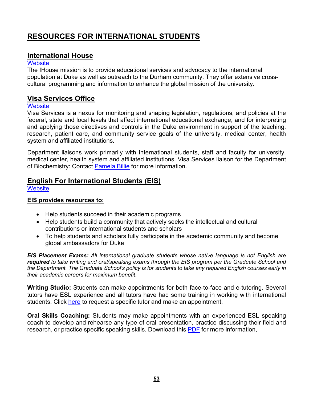# <span id="page-52-0"></span>**RESOURCES FOR INTERNATIONAL STUDENTS**

### <span id="page-52-1"></span>**International House**

### **[Website](https://studentaffairs.duke.edu/ihouse)**

The IHouse mission is to provide educational services and advocacy to the international population at Duke as well as outreach to the Durham community. They offer extensive crosscultural programming and information to enhance the global mission of the university.

### <span id="page-52-2"></span>**Visa Services Office**

### **[Website](https://visaservices.duke.edu/)**

Visa Services is a nexus for monitoring and shaping legislation, regulations, and policies at the federal, state and local levels that affect international educational exchange, and for interpreting and applying those directives and controls in the Duke environment in support of the teaching, research, patient care, and community service goals of the university, medical center, health system and affiliated institutions.

Department liaisons work primarily with international students, staff and faculty for university, medical center, health system and affiliated institutions. Visa Services liaison for the Department of Biochemistry: Contact [Pamela](mailto:pamela.billie@duke.edu) Billie for more information.

### <span id="page-52-3"></span>**English For International Students (EIS)**

**[Website](https://gradschool.duke.edu/academics/english-international-students)** 

### **EIS provides resources to:**

- Help students succeed in their academic programs
- Help students build a community that actively seeks the intellectual and cultural contributions or international students and scholars
- To help students and scholars fully participate in the academic community and become global ambassadors for Duke

*EIS Placement Exams: All international graduate students whose native language is not English are required to take writing and oral/speaking exams through the EIS program per the Graduate School and* the Department. The Graduate School's policy is for students to take any required English courses early in *their academic careers for maximum benefit*.

**Writing Studio:** Students can make appointments for both face-to-face and e-tutoring. Several tutors have ESL experience and all tutors have had some training in working with international students. Click [here](http://uwp.duke.edu/writing-studio) to request a specific tutor and make an appointment.

**Oral Skills Coaching:** Students may make appointments with an experienced ESL speaking coach to develop and rehearse any type of oral presentation, practice discussing their field and research, or practice specific speaking skills. Download this [PDF](http://www.duke.edu/web/eis/services/OralSkillsCoaching08Rev.pdf) for more information,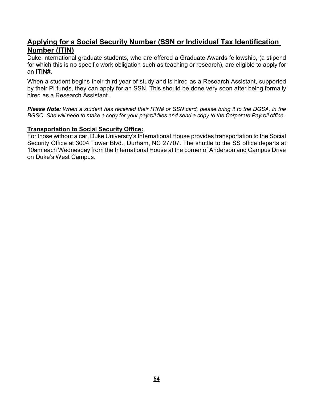### <span id="page-53-0"></span>**Applying for a Social Security Number (SSN or Individual Tax Identification Number (ITIN)**

Duke international graduate students, who are offered a Graduate Awards fellowship, (a stipend for which this is no specific work obligation such as teaching or research), are eligible to apply for an **ITIN#.**

When a student begins their third year of study and is hired as a Research Assistant, supported by their PI funds, they can apply for an SSN. This should be done very soon after being formally hired as a Research Assistant.

*Please Note: When a student has received their ITIN# or SSN card, please bring it to the DGSA, in the* BGSO. She will need to make a copy for your payroll files and send a copy to the Corporate Payroll office.

### **Transportation to Social Security Office:**

For those without a car, Duke University's International House provides transportation to the Social Security Office at 3004 Tower Blvd., Durham, NC 27707. The shuttle to the SS office departs at 10am each Wednesday from the International House at the corner of Anderson and Campus Drive on Duke's West Campus.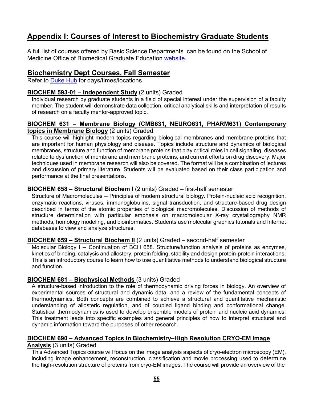# <span id="page-54-0"></span>**Appendix I: Courses of Interest to Biochemistry Graduate Students**

A full list of courses offered by Basic Science Departments can be found on the School of Medicine Office of Biomedical Graduate Education [website.](https://medschool.duke.edu/education/degree-programs-and-admissions/office-biomedical-graduate-education/current-students/course-listings)

### <span id="page-54-1"></span>**Biochemistry Dept Courses, Fall Semester**

Refer to [Duke](https://dukehub.duke.edu/psc/CSPRD01/EMPLOYEE/SA/s/WEBLIB_HCX_GN.H_SPRINGBOARD.FieldFormula.IScript_Main?institution=DUKEU&cmd=login&errorCode=999&languageCd=ENG) Hub for days/times/locations

### **BIOCHEM 593-01 – Independent Study** (2 units) Graded

Individual research by graduate students in a field of special interest under the supervision of a faculty member. The student will demonstrate data collection, critical analytical skills and interpretation of results of research on a faculty mentor-approved topic.

#### **BIOCHEM 631 – Membrane Biology (CMB631, NEURO631, PHARM631) Contemporary topics in Membrane Biology** (2 units) Graded

This course will highlight modern topics regarding biological membranes and membrane proteins that are important for human physiology and disease. Topics include structure and dynamics of biological membranes, structure and function of membrane proteins that play critical roles in cell signaling, diseases related to dysfunction of membrane and membrane proteins, and current efforts on drug discovery. Major techniques used in membrane research will also be covered. The format will be a combination of lectures and discussion of primary literature. Students will be evaluated based on their class participation and performance at the final presentations.

### **BIOCHEM 658 – Structural Biochem I** (2 units) Graded – first-half semester

Structure of Macromolecules – Principles of modern structural biology. Protein-nucleic acid recognition, enzymatic reactions, viruses, immunoglobulins, signal transduction, and structure-based drug design described in terms of the atomic properties of biological macromolecules. Discussion of methods of structure determination with particular emphasis on macromolecular X-ray crystallography NMR methods, homology modeling, and bioinformatics. Students use molecular graphics tutorials and Internet databases to view and analyze structures.

### **BIOCHEM 659 – Structural Biochem II** (2 units) Graded – second-half semester

Molecular Biology I – Continuation of BCH 658. Structure/function analysis of proteins as enzymes, kinetics of binding, catalysis and allostery, protein folding, stability and design protein-protein interactions. This is an introductory course to learn how to use quantitative methods to understand biological structure and function.

### **BIOCHEM 681 – Biophysical Methods** (3 units) Graded

A structure-based introduction to the role of thermodynamic driving forces in biology. An overview of experimental sources of structural and dynamic data, and a review of the fundamental concepts of thermodynamics. Both concepts are combined to achieve a structural and quantitative mechanistic understanding of allosteric regulation, and of coupled ligand binding and conformational change. Statistical thermodynamics is used to develop ensemble models of protein and nucleic acid dynamics. This treatment leads into specific examples and general principles of how to interpret structural and dynamic information toward the purposes of other research.

### **BIOCHEM 690 – Advanced Topics in Biochemistry–High Resolution CRYO-EM Image**

### **Analysis** (3 units) Graded

This Advanced Topics course will focus on the image analysis aspects of cryo-electron microscopy (EM), including image enhancement, reconstruction, classification and movie processing used to determine the high-resolution structure of proteins from cryo-EM images. The course will provide an overview of the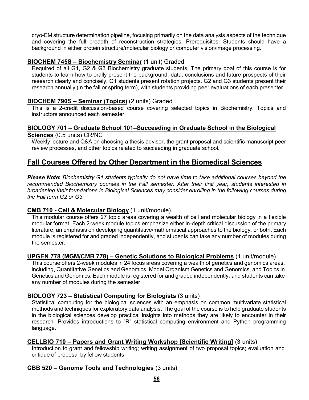cryo-EM structure determination pipeline, focusing primarily on the data analysis aspects of the technique and covering the full breadth of reconstruction strategies. Prerequisites: Students should have a background in either protein structure/molecular biology or computer vision/image processing.

### **BIOCHEM 745S – Biochemistry Seminar** (1 unit) Graded

Required of all G1, G2 & G3 Biochemistry graduate students. The primary goal of this course is for students to learn how to orally present the background, data, conclusions and future prospects of their research clearly and concisely. G1 students present rotation projects. G2 and G3 students present their research annually (in the fall or spring term), with students providing peer evaluations of each presenter.

### **BIOCHEM 790S – Seminar (Topics)** (2 units) Graded

This is a 2-credit discussion-based course covering selected topics in Biochemistry. Topics and instructors announced each semester.

#### **BIOLOGY 701 – Graduate School 101–Succeeding in Graduate School in the Biological Sciences** (0.5 units) CR/NC

Weekly lecture and Q&A on choosing a thesis advisor, the grant proposal and scientific manuscript peer review processes, and other topics related to succeeding in graduate school.

### <span id="page-55-0"></span>**Fall Courses Offered by Other Department in the Biomedical Sciences**

*Please Note***:** *Biochemistry G1 students typically do not have time to take additional courses beyond the recommended Biochemistry courses in the Fall semester. After their first year, students interested in broadening their foundations in Biological Sciences may consider enrolling in the following courses during the Fall term G2 or G3.*

### **CMB 710 - Cell & Molecular Biology** (1 unit/module)

This modular course offers 27 topic areas covering a wealth of cell and molecular biology in a flexible modular format. Each 2-week module topics emphasize either in-depth critical discussion of the primary literature, an emphasis on developing quantitative/mathematical approaches to the biology, or both. Each module is registered for and graded independently, and students can take any number of modules during the semester.

### **UPGEN 778 (MGM/CMB 778) – Genetic Solutions to Biological Problems** (1 unit/module)

This course offers 2-week modules in 24 focus areas covering a wealth of genetics and genomics areas, including, Quantitative Genetics and Genomics, Model Organism Genetics and Genomics, and Topics in Genetics and Genomics. Each module is registered for and graded independently, and students can take any number of modules during the semester

### **BIOLOGY 723 – Statistical Computing for Biologists** (3 units)

Statistical computing for the biological sciences with an emphasis on common multivariate statistical methods and techniques for exploratory data analysis. The goal of the course is to help graduate students in the biological sciences develop practical insights into methods they are likely to encounter in their research. Provides introductions to "R" statistical computing environment and Python programming language.

### **CELLBIO 710 – Papers and Grant Writing Workshop [Scientific Writing]** (3 units)

Introduction to grant and fellowship writing; writing assignment of two proposal topics; evaluation and critique of proposal by fellow students.

### **CBB 520 – Genome Tools and Technologies** (3 units)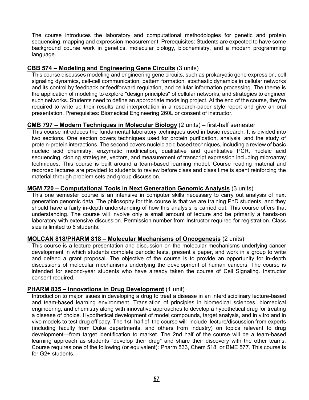The course introduces the laboratory and computational methodologies for genetic and protein sequencing, mapping and expression measurement. Prerequisites: Students are expected to have some background course work in genetics, molecular biology, biochemistry, and a modern programming language.

### **CBB 574 – Modeling and Engineering Gene Circuits** (3 units)

This course discusses modeling and engineering gene circuits, such as prokaryotic gene expression, cell signaling dynamics, cell-cell communication, pattern formation, stochastic dynamics in cellular networks and its control by feedback or feedforward regulation, and cellular information processing. The theme is the application of modeling to explore "design principles" of cellular networks, and strategies to engineer such networks. Students need to define an appropriate modeling project. At the end of the course, they're required to write up their results and interpretation in a research-paper style report and give an oral presentation. Prerequisites: Biomedical Engineering 260L or consent of instructor.

### **CMB 797 – Modern Techniques in Molecular Biology** (2 units) – first-half semester

This course introduces the fundamental laboratory techniques used in basic research. It is divided into two sections. One section covers techniques used for protein purification, analysis, and the study of protein-protein interactions. The second covers nucleic acid based techniques, including a review of basic nucleic acid chemistry, enzymatic modification, qualitative and quantitative PCR, nucleic acid sequencing, cloning strategies, vectors, and measurement of transcript expression including microarray techniques. This course is built around a team-based learning model. Course reading material and recorded lectures are provided to students to review before class and class time is spent reinforcing the material through problem sets and group discussion.

### **MGM 720 – Computational Tools in Next Generation Genomic Analysis** (3 units)

This one semester course is an intensive in computer skills necessary to carry out analysis of next generation genomic data. The philosophy for this course is that we are training PhD students, and they should have a fairly in-depth understanding of how this analysis is carried out. This course offers that understanding. The course will involve only a small amount of lecture and be primarily a hands-on laboratory with extensive discussion. Permission number from Instructor required for registration. Class size is limited to 6 students.

### **MOLCAN 818/PHARM 818 – Molecular Mechanisms of Oncogenesis** (2 units)

This course is a lecture presentation and discussion on the molecular mechanisms underlying cancer development in which students complete periodic tests, present a paper, and work in a group to write and defend a grant proposal. The objective of the course is to provide an opportunity for in-depth discussions of molecular mechanisms underlying the development of human cancers. The course is intended for second-year students who have already taken the course of Cell Signaling. Instructor consent required.

#### **PHARM 835 – Innovations in Drug Development** (1 unit)

Introduction to major issues in developing a drug to treat a disease in an interdisciplinary lecture-based and team-based learning environment. Translation of principles in biomedical sciences, biomedical engineering, and chemistry along with innovative approaches to develop a hypothetical drug for treating a disease of choice. Hypothetical development of model compounds, target analysis, and in vitro and in vivo models to test drug efficacy. The 1st half of the course will include lecture/discussion from experts (including faculty from Duke departments, and others from industry) on topics relevant to drug development—from target identification to market. The 2nd half of the course will be a team-based learning approach as students "develop their drug" and share their discovery with the other teams. Course requires one of the following (or equivalent): Pharm 533, Chem 518, or BME 577. This course is for G2+ students.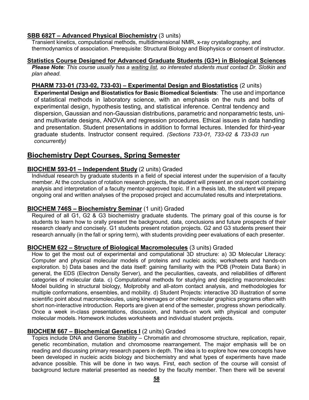### **SBB 682T – Advanced Physical Biochemistry** (3 units)

Transient kinetics, computational methods, multidimensional NMR, x-ray crystallography, and thermodynamics of association. Prerequisite: Structural Biology and Biophysics or consent of instructor.

#### **Statistics Course Designed for Advanced Graduate Students (G3+) in Biological Sciences**

*Please Note: This course usually has a waiting list, so interested students must contact Dr. Slotkin and plan ahead.*

#### **PHARM 733-01 (733-02, 733-03) – Experimental Design and Biostatistics** (2 units)

**Experimental Design and Biostatistics for Basic Biomedical Scientists**: The use and importance of statistical methods in laboratory science, with an emphasis on the nuts and bolts of experimental design, hypothesis testing, and statistical inference. Central tendency and dispersion, Gaussian and non-Gaussian distributions, parametric and nonparametric tests, uniand multivariate designs, ANOVA and regression procedures. Ethical issues in data handling and presentation. Student presentations in addition to formal lectures. Intended for third-year graduate students. Instructor consent required. *(Sections 733-01, 733-02 & 733-03 run concurrently)*

### <span id="page-57-0"></span>**Biochemistry Dept Courses, Spring Semester**

### **BIOCHEM 593-01 – Independent Study** (2 units) Graded

Individual research by graduate students in a field of special interest under the supervision of a faculty member. At the conclusion of rotation research projects, the student will present an oral report containing analysis and interpretation of a faculty mentor-approved topic. If in a thesis lab, the student will prepare ongoing oral and written analyses of the proposed project and accumulated results and interpretations.

### **BIOCHEM 746S – Biochemistry Seminar** (1 unit) Graded

Required of all G1, G2 & G3 biochemistry graduate students. The primary goal of this course is for students to learn how to orally present the background, data, conclusions and future prospects of their research clearly and concisely. G1 students present rotation projects. G2 and G3 students present their research annually (in the fall or spring term), with students providing peer evaluations of each presenter.

### **BIOCHEM 622 – Structure of Biological Macromolecules** (3 units) Graded

How to get the most out of experimental and computational 3D structure: a) 3D Molecular Literacy: Computer and physical molecular models of proteins and nucleic acids; worksheets and hands-on exploration. b) Data bases and the data itself: gaining familiarity with the PDB (Protein Data Bank) in general, the EDS (Electron Density Server), and the peculiarities, caveats, and reliabilities of different categories of molecular data. c) Computational methods for studying and depicting macromolecules: Model building in structural biology, Molprobity and all-atom contact analysis, and methodologies for multiple conformations, ensembles, and mobility. d) Student Projects: interactive 3D illustration of some scientific point about macromolecules, using kinemages or other molecular graphics programs often with short non-interactive introduction. Reports are given at end of the semester, progress shown periodically. Once a week in-class presentations, discussion, and hands-on work with physical and computer molecular models. Homework includes worksheets and individual student projects.

### **BIOCHEM 667 – Biochemical Genetics I** (2 units) Graded

Topics include DNA and Genome Stability – Chromatin and chromosome structure, replication, repair, genetic recombination, mutation and chromosome rearrangement. The major emphasis will be on reading and discussing primary research papers in depth. The idea is to explore how new concepts have been developed in nucleic acids biology and biochemistry and what types of experiments have made advance possible. This will be done in two ways. First, each section of the course will consist of background lecture material presented as needed by the faculty member. Then there will be several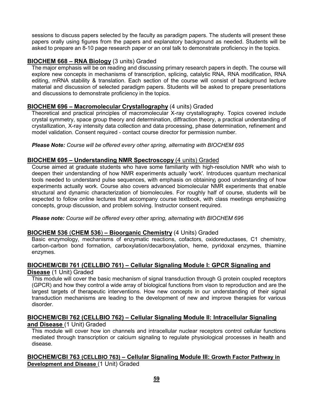sessions to discuss papers selected by the faculty as paradigm papers. The students will present these papers orally using figures from the papers and explanatory background as needed. Students will be asked to prepare an 8-10 page research paper or an oral talk to demonstrate proficiency in the topics.

### **BIOCHEM 668 – RNA Biology** (3 units) Graded

The major emphasis will be on reading and discussing primary research papers in depth. The course will explore new concepts in mechanisms of transcription, splicing, catalytic RNA, RNA modification, RNA editing, mRNA stability & translation. Each section of the course will consist of background lecture material and discussion of selected paradigm papers. Students will be asked to prepare presentations and discussions to demonstrate proficiency in the topics.

### **BIOCHEM 696 – Macromolecular Crystallography** (4 units) Graded

Theoretical and practical principles of macromolecular X-ray crystallography. Topics covered include crystal symmetry, space group theory and determination, diffraction theory, a practical understanding of crystallization, X-ray intensity data collection and data processing, phase determination, refinement and model validation. Consent required - contact course director for permission number.

#### *Please Note: Course will be offered every other spring, alternating with BIOCHEM 695*

### **BIOCHEM 695 – Understanding NMR Spectroscopy** (4 units) Graded

Course aimed at graduate students who have some familiarity with high-resolution NMR who wish to deepen their understanding of how NMR experiments actually 'work'. Introduces quantum mechanical tools needed to understand pulse sequences, with emphasis on obtaining good understanding of how experiments actually work. Course also covers advanced biomolecular NMR experiments that enable structural and dynamic characterization of biomolecules. For roughly half of course, students will be expected to follow online lectures that accompany course textbook, with class meetings emphasizing concepts, group discussion, and problem solving. Instructor consent required.

*Please note: Course will be offered every other spring, alternating with BIOCHEM 696*

### **BIOCHEM 536** (**CHEM 536**) **– Bioorganic Chemistry** (4 Units) Graded

Basic enzymology, mechanisms of enzymatic reactions, cofactors, oxidoreductases, C1 chemistry, carbon-carbon bond formation, carboxylation/decarboxylation, heme, pyridoxal enzymes, thiamine enzymes.

### **BIOCHEM/CBI 761 (CELLBIO 761) – Cellular Signaling Module I: GPCR Signaling and**

### **Disease** (1 Unit) Graded

This module will cover the basic mechanism of signal transduction through G protein coupled receptors (GPCR) and how they control a wide array of biological functions from vison to reproduction and are the largest targets of therapeutic interventions. How new concepts in our understanding of their signal transduction mechanisms are leading to the development of new and improve therapies for various disorder.

#### **BIOCHEM/CBI 762 (CELLBIO 762) – Cellular Signaling Module II: Intracellular Signaling and Disease** (1 Unit) Graded

This module will cover how ion channels and intracellular nuclear receptors control cellular functions mediated through transcription or calcium signaling to regulate physiological processes in health and disease.

### **BIOCHEM/CBI 763 (CELLBIO 763) – Cellular Signaling Module III: Growth Factor Pathway in Development and Disease** (1 Unit) Graded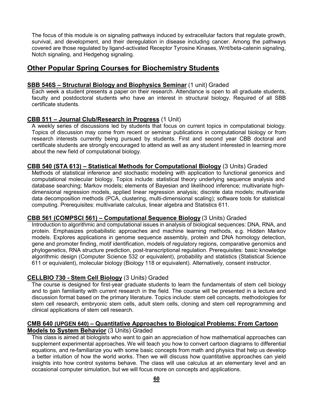The focus of this module is on signaling pathways induced by extracellular factors that regulate growth, survival, and development, and their deregulation in disease including cancer. Among the pathways covered are those regulated by ligand-activated Receptor Tyrosine Kinases, Wnt/beta-catenin signaling, Notch signaling, and Hedgehog signaling.

### <span id="page-59-0"></span>**Other Popular Spring Courses for Biochemistry Students**

### **SBB 546S – Structural Biology and Biophysics Seminar** (1 unit) Graded

Each week a student presents a paper on their research. Attendance is open to all graduate students, faculty and postdoctoral students who have an interest in structural biology. Required of all SBB certificate students.

### **CBB 511 – Journal Club/Research in Progress** (1 Unit)

A weekly series of discussions led by students that focus on current topics in computational biology. Topics of discussion may come from recent or seminar publications in computational biology or from research interests currently being pursued by students. First and second year CBB doctoral and certificate students are strongly encouraged to attend as well as any student interested in learning more about the new field of computational biology.

### **CBB 540 (STA 613) – Statistical Methods for Computational Biology** (3 Units) Graded

Methods of statistical inference and stochastic modeling with application to functional genomics and computational molecular biology. Topics include: statistical theory underlying sequence analysis and database searching; Markov models; elements of Bayesian and likelihood inference; multivariate highdimensional regression models, applied linear regression analysis; discrete data models; multivariate data decomposition methods (PCA, clustering, multi-dimensional scaling); software tools for statistical computing. Prerequisites: multivariate calculus, linear algebra and Statistics 611.

### **CBB 561 (COMPSCI 561) – Computational Sequence Biology** (3 Units) Graded

Introduction to algorithmic and computational issues in analysis of biological sequences: DNA, RNA, and protein. Emphasizes probabilistic approaches and machine learning methods, e.g. Hidden Markov models. Explores applications in genome sequence assembly, protein and DNA homology detection, gene and promoter finding, motif identification, models of regulatory regions, comparative genomics and phylogenetics, RNA structure prediction, post-transcriptional regulation. Prerequisites: basic knowledge algorithmic design (Computer Science 532 or equivalent), probability and statistics (Statistical Science 611 or equivalent), molecular biology (Biology 118 or equivalent). Alternatively, consent instructor.

### **CELLBIO 730 - Stem Cell Biology** (3 Units) Graded

The course is designed for first-year graduate students to learn the fundamentals of stem cell biology and to gain familiarity with current research in the field. The course will be presented in a lecture and discussion format based on the primary literature. Topics include: stem cell concepts, methodologies for stem cell research, embryonic stem cells, adult stem cells, cloning and stem cell reprogramming and clinical applications of stem cell research.

#### **CMB 640 (UPGEN 640) – Quantitative Approaches to Biological Problems: From Cartoon Models to System Behavior** (3 Units) Graded

This class is aimed at biologists who want to gain an appreciation of how mathematical approaches can supplement experimental approaches. We will teach you how to convert cartoon diagrams to differential equations, and re-familiarize you with some basic concepts from math and physics that help us develop a better intuition of how the world works. Then we will discuss how quantitative approaches can yield insights into how control systems behave. The class will use calculus at an elementary level and an occasional computer simulation, but we will focus more on concepts and applications.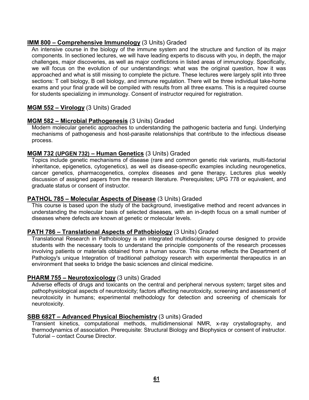#### **IMM 800 – Comprehensive Immunology** (3 Units) Graded

An intensive course in the biology of the immune system and the structure and function of its major components. In sectioned lectures, we will have leading experts to discuss with you, in depth, the major challenges, major discoveries, as well as major conflictions in listed areas of immunology. Specifically, we will focus on the evolution of our understandings: what was the original question, how it was approached and what is still missing to complete the picture. These lectures were largely split into three sections: T cell biology, B cell biology, and immune regulation. There will be three individual take-home exams and your final grade will be compiled with results from all three exams. This is a required course for students specializing in immunology. Consent of instructor required for registration.

### **MGM 552 – Virology** (3 Units) Graded

### **MGM 582 – Microbial Pathogenesis** (3 Units) Graded

Modern molecular genetic approaches to understanding the pathogenic bacteria and fungi. Underlying mechanisms of pathogenesis and host-parasite relationships that contribute to the infectious disease process.

### **MGM 732 (UPGEN 732) – Human Genetics** (3 Units) Graded

Topics include genetic mechanisms of disease (rare and common genetic risk variants, multi-factorial inheritance, epigenetics, cytogenetics), as well as disease-specific examples including neurogenetics, cancer genetics, pharmacogenetics, complex diseases and gene therapy. Lectures plus weekly discussion of assigned papers from the research literature. Prerequisites; UPG 778 or equivalent, and graduate status or consent of instructor.

#### **PATHOL 785 – Molecular Aspects of Disease** (3 Units) Graded

This course is based upon the study of the background, investigative method and recent advances in understanding the molecular basis of selected diseases, with an in-depth focus on a small number of diseases where defects are known at genetic or molecular levels.

#### **PATH 786 – Translational Aspects of Pathobiology** (3 Units) Graded

Translational Research in Pathobiology is an integrated multidisciplinary course designed to provide students with the necessary tools to understand the principle components of the research processes involving patients or materials obtained from a human source. This course reflects the Department of Pathology's unique Integration of traditional pathology research with experimental therapeutics in an environment that seeks to bridge the basic sciences and clinical medicine.

#### **PHARM 755 – Neurotoxicology** (3 units) Graded

Adverse effects of drugs and toxicants on the central and peripheral nervous system; target sites and pathophysiological aspects of neurotoxicity; factors affecting neurotoxicity, screening and assessment of neurotoxicity in humans; experimental methodology for detection and screening of chemicals for neurotoxicity.

#### **SBB 682T – Advanced Physical Biochemistry** (3 units) Graded

Transient kinetics, computational methods, multidimensional NMR, x-ray crystallography, and thermodynamics of association. Prerequisite: Structural Biology and Biophysics or consent of instructor. Tutorial – contact Course Director.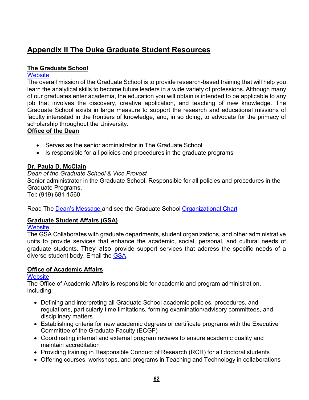# <span id="page-61-0"></span>**Appendix II The Duke Graduate Student Resources**

### **The Graduate School**

### **[Website](http://gradschool.duke.edu/)**

The overall mission of the Graduate School is to provide research-based training that will help you learn the analytical skills to become future leaders in a wide variety of professions. Although many of our graduates enter academia, the education you will obtain is intended to be applicable to any job that involves the discovery, creative application, and teaching of new knowledge. The Graduate School exists in large measure to support the research and educational missions of faculty interested in the frontiers of knowledge, and, in so doing, to advocate for the primacy of scholarship throughout the University.

### **Office of the Dean**

- Serves as the senior administrator in The Graduate School
- Is responsible for all policies and procedures in the graduate programs

### **Dr. Paula D. McClain**

*Dean of the Graduate School & Vice Provost*

Senior administrator in the Graduate School. Responsible for all policies and procedures in the Graduate Programs.

Tel: (919) 681-1560

Read The Dean's [Message](https://gradschool.duke.edu/about/deans-welcome) and see the Graduate School [Organizational](http://gradschool.duke.edu/sites/default/files/documents/duke_graduate_school_org_chart.pdf) Chart

### **Graduate Student Affairs (GSA)**

### **[Website](https://gradschool.duke.edu/student-life/tell-us-what-you-need)**

The GSA Collaborates with graduate departments, student organizations, and other administrative units to provide services that enhance the academic, social, personal, and cultural needs of graduate students. They also provide support services that address the specific needs of a diverse student body. Email the [GSA.](mailto:grad-gsa@duke.edu)

### **Office of Academic Affairs**

### **[Website](http://gradschool.duke.edu/academics/programs.php)**

The Office of Academic Affairs is responsible for academic and program administration, including:

- Defining and interpreting all Graduate School academic policies, procedures, and regulations, particularly time limitations, forming examination/advisory committees, and disciplinary matters
- Establishing criteria for new academic degrees or certificate programs with the Executive Committee of the Graduate Faculty (ECGF)
- Coordinating internal and external program reviews to ensure academic quality and maintain accreditation
- Providing training in Responsible Conduct of Research (RCR) for all doctoral students
- Offering courses, workshops, and programs in Teaching and Technology in collaborations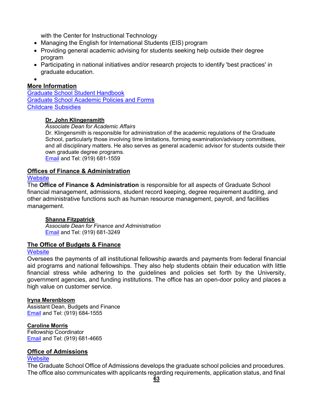with the Center for Instructional Technology

- Managing the English for International Students (EIS) program
- Providing general academic advising for students seeking help outside their degree program
- Participating in national initiatives and/or research projects to identify 'best practices' in graduate education.
- •

### **More Information**

Graduate School Student [Handbook](http://gradschool.duke.edu/node/538) [Graduate School Academic Policies and Forms](https://gradschool.duke.edu/academics/academic-policies) [Childcare Subsidies](https://gradschool.duke.edu/financial-support/child-care-subsidy)

#### **Dr. John Klingensmith**

#### *Associate Dean for Academic Affairs*

Dr. Klingensmith is responsible for administration of the academic regulations of the Graduate School, particularly those involving time limitations, forming examination/advisory committees, and all disciplinary matters. He also serves as general academic advisor for students outside their own graduate degree programs.

[Email](mailto:john.klingensmith@duke.edu) and Tel: (919) 681-1559

### **Offices of Finance & Administration**

#### **[Website](https://gradschool.duke.edu/about/staff-directory#finadmin)**

The **Office of Finance & Administration** is responsible for all aspects of Graduate School financial management, admissions, student record keeping, degree requirement auditing, and other administrative functions such as human resource management, payroll, and facilities management.

### **Shanna Fitzpatrick**

*Associate Dean for Finance and Administration* [Email](mailto:shanna.fitzpatrick@duke.edu) and Tel: (919) 681-3249

### **The Office of Budgets & Finance**

### **[Website](https://gradschool.duke.edu/about/staff-directory#budget)**

Oversees the payments of all institutional fellowship awards and payments from federal financial aid programs and national fellowships. They also help students obtain their education with little financial stress while adhering to the guidelines and policies set forth by the University, government agencies, and funding institutions. The office has an open-door policy and places a high value on customer service.

### **Iryna Merenbloom**

Assistant Dean, Budgets and Finance [Email](mailto:iryna.merenbloom@duke.edu) and Tel: (919) 684-1555

### **Caroline Morris**

Fellowship Coordinator [Email](mailto:caroline.morris@duke.edu) and Tel: (919) 681-4665

### **Office of Admissions**

### **[Website](http://gradschool.duke.edu/admissions)**

The Graduate School Office of Admissions develops the graduate school policies and procedures. The office also communicates with applicants regarding requirements, application status, and final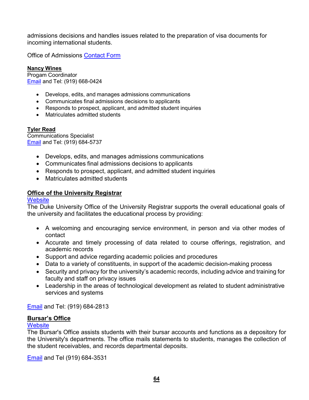admissions decisions and handles issues related to the preparation of visa documents for incoming international students.

**Office of Admissions [Contact](https://gradschool.duke.edu/admissions/contact-admissions) Form** 

**Nancy Wines** Progam Coordinator [Email](mailto:nancy.wines@duke.edu) and Tel: (919) 668-0424

- Develops, edits, and manages admissions communications
- Communicates final admissions decisions to applicants
- Responds to prospect, applicant, and admitted student inquiries
- Matriculates admitted students

### **Tyler Read**

Communications Specialist [Email](mailto:tyler.read@duke.edu) and Tel: (919) 684-5737

- Develops, edits, and manages admissions communications
- Communicates final admissions decisions to applicants
- Responds to prospect, applicant, and admitted student inquiries
- Matriculates admitted students

### **[Office of the University Registrar](http://www.registrar.duke.edu/)**

#### **[Website](http://www.registrar.duke.edu/)**

The Duke University Office of the University Registrar supports the overall educational goals of the university and facilitates the educational process by providing:

- A welcoming and encouraging service environment, in person and via other modes of contact
- Accurate and timely processing of data related to course offerings, registration, and academic records
- Support and advice regarding academic policies and procedures
- Data to a variety of constituents, in support of the academic decision-making process
- Security and privacy for the university's academic records, including advice and training for faculty and staff on privacy issues
- Leadership in the areas of technological development as related to student administrative services and systems

[Email](mailto:%20registrar@duke.edu) and Tel: (919) 684-2813

### **Bursar's Office**

### **[Website](http://finance.duke.edu/bursar/)**

The Bursar's Office assists students with their bursar accounts and functions as a depository for the University's departments. The office mails statements to students, manages the collection of the student receivables, and records departmental deposits.

[Email](mailto:bursar@duke.edu) and Tel (919) 684-3531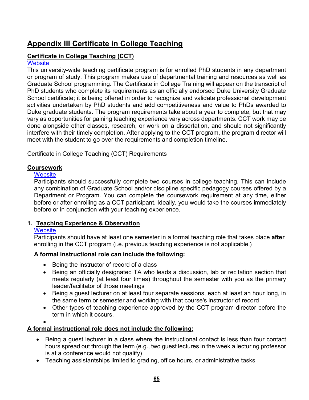# <span id="page-64-0"></span>**Appendix III Certificate in College Teaching**

### **Certificate in College Teaching (CCT)**

### **[Website](http://gradschool.duke.edu/professional-development/programs/certificate-college-teaching)**

This university-wide teaching certificate program is for enrolled PhD students in any department or program of study. This program makes use of departmental training and resources as well as Graduate School programming. The Certificate in College Training will appear on the transcript of PhD students who complete its requirements as an officially endorsed Duke University Graduate School certificate; it is being offered in order to recognize and validate professional development activities undertaken by PhD students and add competitiveness and value to PhDs awarded to Duke graduate students. The program requirements take about a year to complete, but that may vary as opportunities for gaining teaching experience vary across departments. CCT work may be done alongside other classes, research, or work on a dissertation, and should not significantly interfere with their timely completion. After applying to the CCT program, the program director will meet with the student to go over the requirements and completion timeline.

Certificate in College Teaching (CCT) Requirements

### **Coursework**

### **[Website](http://gradschool.duke.edu/node/545)**

Participants should successfully complete two courses in college teaching. This can include any combination of Graduate School and/or discipline specific pedagogy courses offered by a Department or Program. You can complete the coursework requirement at any time, either before or after enrolling as a CCT participant. Ideally, you would take the courses immediately before or in conjunction with your teaching experience.

### **1. Teaching Experience & Observation**

### **[Website](http://gradschool.duke.edu/node/552)**

Participants should have at least one semester in a formal teaching role that takes place **after** enrolling in the CCT program (i.e. previous teaching experience is not applicable.)

### **A formal instructional role can include the following:**

- Being the instructor of record of a class
- Being an officially designated TA who leads a discussion, lab or recitation section that meets regularly (at least four times) throughout the semester with you as the primary leader/facilitator of those meetings
- Being a guest lecturer on at least four separate sessions, each at least an hour long, in the same term or semester and working with that course's instructor of record
- Other types of teaching experience approved by the CCT program director before the term in which it occurs.

•

### **A formal instructional role does not include the following:**

- Being a guest lecturer in a class where the instructional contact is less than four contact hours spread out through the term (e.g., two guest lectures in the week a lecturing professor is at a conference would not qualify)
- Teaching assistantships limited to grading, office hours, or administrative tasks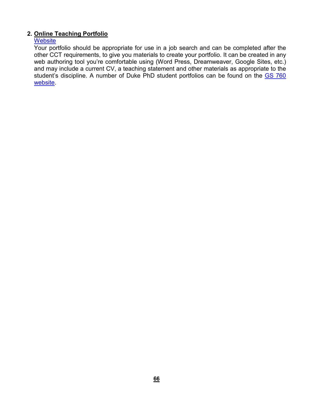### **2. Online Teaching Portfolio**

### **[Website](https://gradschool.duke.edu/professional-development/programs/certificate-college-teaching/online-teaching-portfolio)**

Your portfolio should be appropriate for use in a job search and can be completed after the other CCT requirements, to give you materials to create your portfolio. It can be created in any web authoring tool you're comfortable using (Word Press, Dreamweaver, Google Sites, etc.) and may include a current CV, a teaching statement and other materials as appropriate to the student's discipline. A number of Duke PhD student portfolios can be found on the [GS 760](http://gradschool.duke.edu/professional-development/programs/certificate-in-college-teaching/courses/gs-760) [website.](http://gradschool.duke.edu/professional-development/programs/certificate-in-college-teaching/courses/gs-760)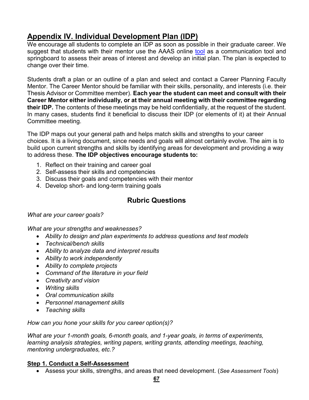# <span id="page-66-0"></span>**Appendix IV. Individual Development Plan (IDP)**

We encourage all students to complete an IDP as soon as possible in their graduate career. We suggest that students with their mentor use the AAAS online [tool](http://myidp.sciencecareers.org/?adobe_mc=MCMID%3D05168945038373430124069971705128424535%7CMCORGID%3D242B6472541199F70A4C98A6%2540AdobeOrg%7CTS%3D1638375877http%3A//myidp.sciencecareers.org/%3Fadobe_mc%3DMCMID%3D05168945038373430124069971705128424535%7CMCORGID%3D242B6472541199F70A4C98A6%2540AdobeOrg%7CTS%3D1638375877) as a communication tool and springboard to assess their areas of interest and develop an initial plan. The plan is expected to change over their time.

Students draft a plan or an outline of a plan and select and contact a Career Planning Faculty Mentor. The Career Mentor should be familiar with their skills, personality, and interests (i.e. their Thesis Advisor or Committee member). **Each year the student can meet and consult with their Career Mentor either individually, or at their annual meeting with their committee regarding their IDP.** The contents of these meetings may be held confidentially, at the request of the student. In many cases, students find it beneficial to discuss their IDP (or elements of it) at their Annual Committee meeting.

The IDP maps out your general path and helps match skills and strengths to your career choices. It is a living document, since needs and goals will almost certainly evolve. The aim is to build upon current strengths and skills by identifying areas for development and providing a way to address these. **The IDP objectives encourage students to:**

- 1. Reflect on their training and career goal
- 2. Self-assess their skills and competencies
- 3. Discuss their goals and competencies with their mentor
- 4. Develop short- and long-term training goals

### **Rubric Questions**

### *What are your career goals?*

*What are your strengths and weaknesses?*

- *Ability to design and plan experiments to address questions and test models*
- *Technical/bench skills*
- *Ability to analyze data and interpret results*
- *Ability to work independently*
- *Ability to complete projects*
- *Command of the literature in your field*
- *Creativity and vision*
- *Writing skills*
- *Oral communication skills*
- *Personnel management skills*
- *Teaching skills*

*How can you hone your skills for you career option(s)?*

*What are your 1-month goals, 6-month goals, and 1-year goals, in terms of experiments, learning analysis strategies, writing papers, writing grants, attending meetings, teaching, mentoring undergraduates, etc.?*

### **Step 1. Conduct a Self-Assessment**

• Assess your skills, strengths, and areas that need development. (*See Assessment Tools*)